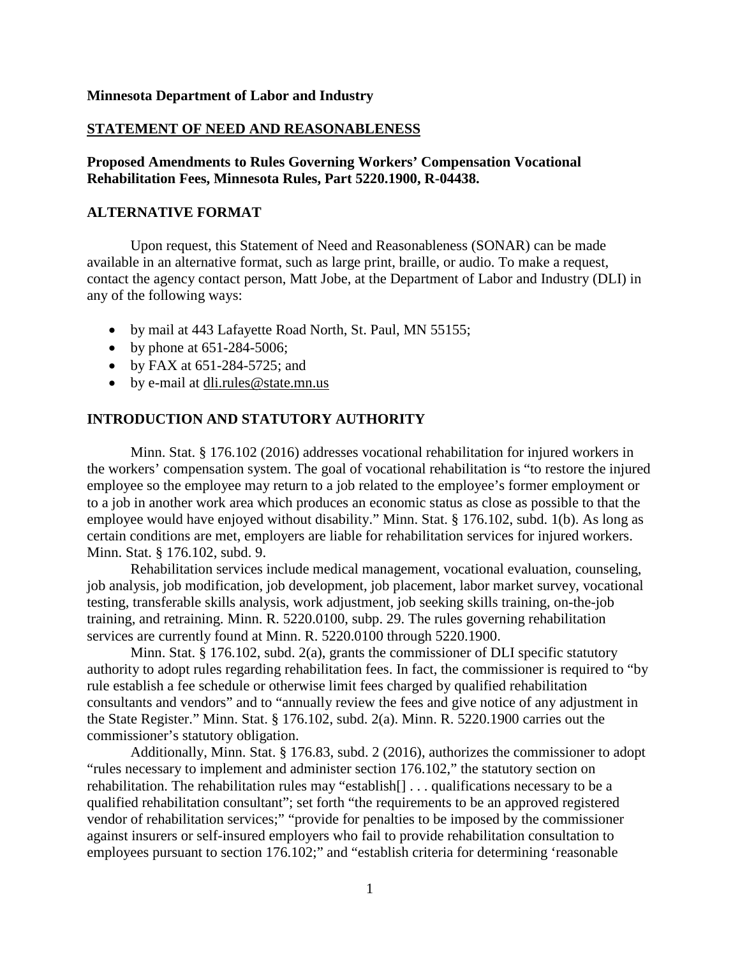#### **Minnesota Department of Labor and Industry**

#### **STATEMENT OF NEED AND REASONABLENESS**

**Proposed Amendments to Rules Governing Workers' Compensation Vocational Rehabilitation Fees, Minnesota Rules, Part 5220.1900, R-04438.**

#### **ALTERNATIVE FORMAT**

Upon request, this Statement of Need and Reasonableness (SONAR) can be made available in an alternative format, such as large print, braille, or audio. To make a request, contact the agency contact person, Matt Jobe, at the Department of Labor and Industry (DLI) in any of the following ways:

- by mail at 443 Lafayette Road North, St. Paul, MN 55155;
- by phone at  $651-284-5006$ ;
- by FAX at 651-284-5725; and
- by e-mail at [dli.rules@state.mn.us](mailto:dli.rules@state.mn.us)

## **INTRODUCTION AND STATUTORY AUTHORITY**

Minn. Stat. § 176.102 (2016) addresses vocational rehabilitation for injured workers in the workers' compensation system. The goal of vocational rehabilitation is "to restore the injured employee so the employee may return to a job related to the employee's former employment or to a job in another work area which produces an economic status as close as possible to that the employee would have enjoyed without disability." Minn. Stat. § 176.102, subd. 1(b). As long as certain conditions are met, employers are liable for rehabilitation services for injured workers. Minn. Stat. § 176.102, subd. 9.

Rehabilitation services include medical management, vocational evaluation, counseling, job analysis, job modification, job development, job placement, labor market survey, vocational testing, transferable skills analysis, work adjustment, job seeking skills training, on-the-job training, and retraining. Minn. R. 5220.0100, subp. 29. The rules governing rehabilitation services are currently found at Minn. R. 5220.0100 through 5220.1900.

Minn. Stat. § 176.102, subd. 2(a), grants the commissioner of DLI specific statutory authority to adopt rules regarding rehabilitation fees. In fact, the commissioner is required to "by rule establish a fee schedule or otherwise limit fees charged by qualified rehabilitation consultants and vendors" and to "annually review the fees and give notice of any adjustment in the State Register." Minn. Stat. § 176.102, subd. 2(a). Minn. R. 5220.1900 carries out the commissioner's statutory obligation.

Additionally, Minn. Stat. § 176.83, subd. 2 (2016), authorizes the commissioner to adopt "rules necessary to implement and administer section 176.102," the statutory section on rehabilitation. The rehabilitation rules may "establish[] . . . qualifications necessary to be a qualified rehabilitation consultant"; set forth "the requirements to be an approved registered vendor of rehabilitation services;" "provide for penalties to be imposed by the commissioner against insurers or self-insured employers who fail to provide rehabilitation consultation to employees pursuant to section 176.102;" and "establish criteria for determining 'reasonable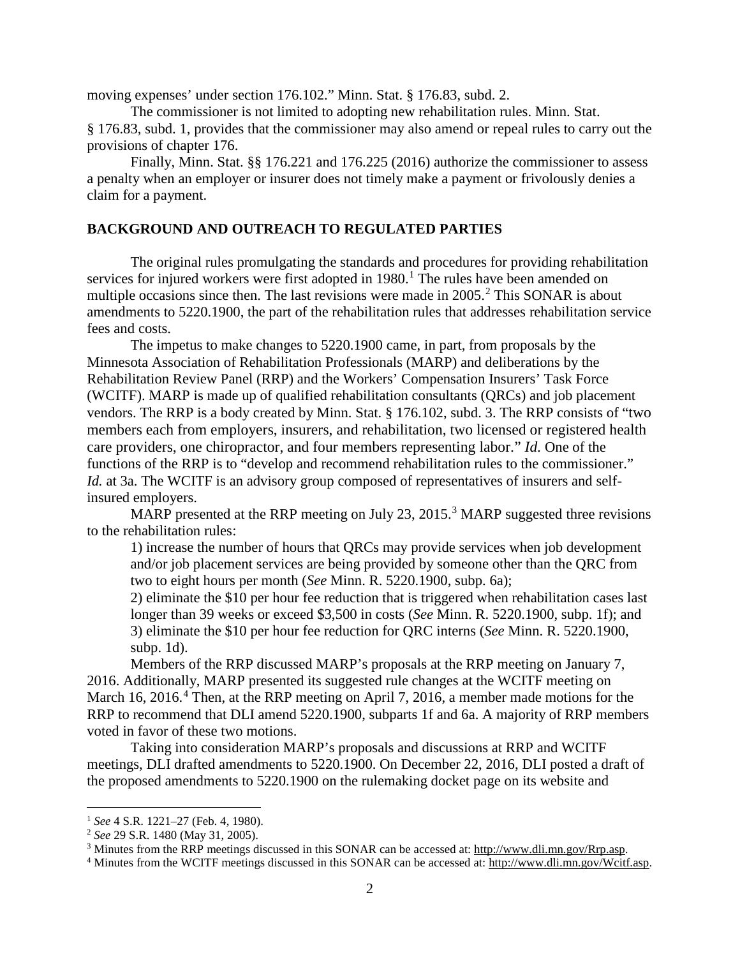moving expenses' under section 176.102." Minn. Stat. § 176.83, subd. 2.

The commissioner is not limited to adopting new rehabilitation rules. Minn. Stat. § 176.83, subd. 1, provides that the commissioner may also amend or repeal rules to carry out the provisions of chapter 176.

Finally, Minn. Stat. §§ 176.221 and 176.225 (2016) authorize the commissioner to assess a penalty when an employer or insurer does not timely make a payment or frivolously denies a claim for a payment.

## **BACKGROUND AND OUTREACH TO REGULATED PARTIES**

The original rules promulgating the standards and procedures for providing rehabilitation services for injured workers were first adopted in  $1980<sup>1</sup>$  $1980<sup>1</sup>$ . The rules have been amended on multiple occasions since then. The last revisions were made in  $2005<sup>2</sup>$  $2005<sup>2</sup>$  This SONAR is about amendments to 5220.1900, the part of the rehabilitation rules that addresses rehabilitation service fees and costs.

The impetus to make changes to 5220.1900 came, in part, from proposals by the Minnesota Association of Rehabilitation Professionals (MARP) and deliberations by the Rehabilitation Review Panel (RRP) and the Workers' Compensation Insurers' Task Force (WCITF). MARP is made up of qualified rehabilitation consultants (QRCs) and job placement vendors. The RRP is a body created by Minn. Stat. § 176.102, subd. 3. The RRP consists of "two members each from employers, insurers, and rehabilitation, two licensed or registered health care providers, one chiropractor, and four members representing labor." *Id.* One of the functions of the RRP is to "develop and recommend rehabilitation rules to the commissioner." *Id.* at 3a. The WCITF is an advisory group composed of representatives of insurers and selfinsured employers.

MARP presented at the RRP meeting on July 2[3](#page-1-2), 2015.<sup>3</sup> MARP suggested three revisions to the rehabilitation rules:

1) increase the number of hours that QRCs may provide services when job development and/or job placement services are being provided by someone other than the QRC from two to eight hours per month (*See* Minn. R. 5220.1900, subp. 6a);

2) eliminate the \$10 per hour fee reduction that is triggered when rehabilitation cases last longer than 39 weeks or exceed \$3,500 in costs (*See* Minn. R. 5220.1900, subp. 1f); and 3) eliminate the \$10 per hour fee reduction for QRC interns (*See* Minn. R. 5220.1900, subp. 1d).

Members of the RRP discussed MARP's proposals at the RRP meeting on January 7, 2016. Additionally, MARP presented its suggested rule changes at the WCITF meeting on March 16, 2016.<sup>[4](#page-1-3)</sup> Then, at the RRP meeting on April 7, 2016, a member made motions for the RRP to recommend that DLI amend 5220.1900, subparts 1f and 6a. A majority of RRP members voted in favor of these two motions.

Taking into consideration MARP's proposals and discussions at RRP and WCITF meetings, DLI drafted amendments to 5220.1900. On December 22, 2016, DLI posted a draft of the proposed amendments to 5220.1900 on the rulemaking docket page on its website and

<span id="page-1-0"></span> <sup>1</sup> *See* 4 S.R. 1221–27 (Feb. 4, 1980).

<span id="page-1-1"></span><sup>2</sup> *See* 29 S.R. 1480 (May 31, 2005).

<span id="page-1-2"></span><sup>3</sup> Minutes from the RRP meetings discussed in this SONAR can be accessed at: [http://www.dli.mn.gov/Rrp.asp.](http://www.dli.mn.gov/Rrp.asp)

<span id="page-1-3"></span><sup>4</sup> Minutes from the WCITF meetings discussed in this SONAR can be accessed at[: http://www.dli.mn.gov/Wcitf.asp.](http://www.dli.mn.gov/Wcitf.asp)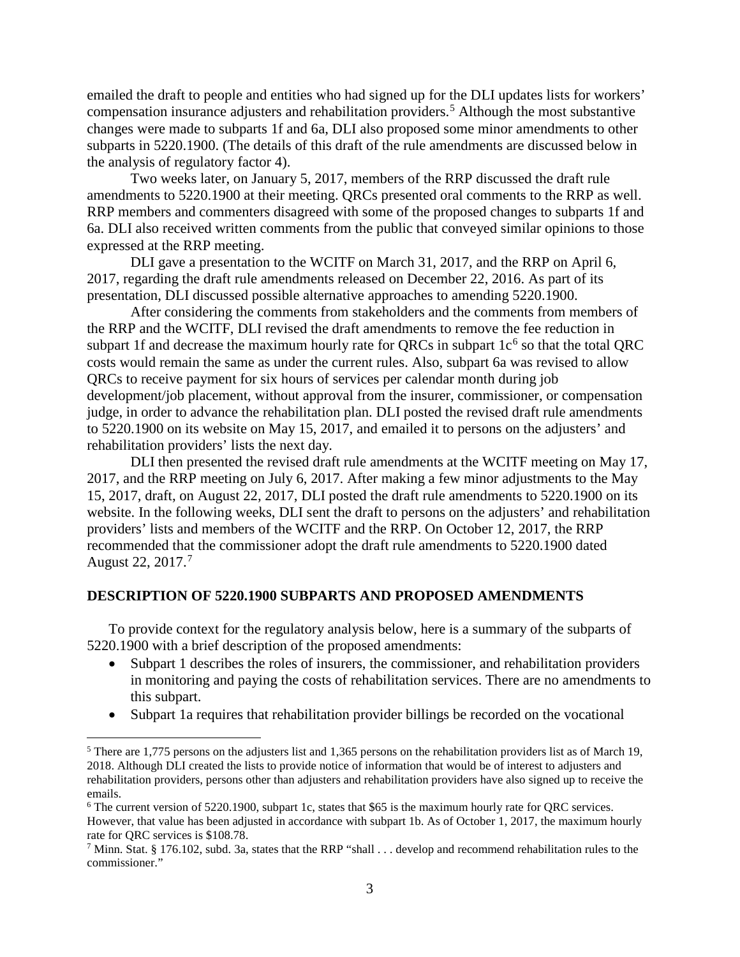emailed the draft to people and entities who had signed up for the DLI updates lists for workers' compensation insurance adjusters and rehabilitation providers.<sup>[5](#page-2-0)</sup> Although the most substantive changes were made to subparts 1f and 6a, DLI also proposed some minor amendments to other subparts in 5220.1900. (The details of this draft of the rule amendments are discussed below in the analysis of regulatory factor 4).

Two weeks later, on January 5, 2017, members of the RRP discussed the draft rule amendments to 5220.1900 at their meeting. QRCs presented oral comments to the RRP as well. RRP members and commenters disagreed with some of the proposed changes to subparts 1f and 6a. DLI also received written comments from the public that conveyed similar opinions to those expressed at the RRP meeting.

DLI gave a presentation to the WCITF on March 31, 2017, and the RRP on April 6, 2017, regarding the draft rule amendments released on December 22, 2016. As part of its presentation, DLI discussed possible alternative approaches to amending 5220.1900.

After considering the comments from stakeholders and the comments from members of the RRP and the WCITF, DLI revised the draft amendments to remove the fee reduction in subpart 1f and decrease the maximum hourly rate for QRCs in subpart  $1c<sup>6</sup>$  $1c<sup>6</sup>$  $1c<sup>6</sup>$  so that the total QRC costs would remain the same as under the current rules. Also, subpart 6a was revised to allow QRCs to receive payment for six hours of services per calendar month during job development/job placement, without approval from the insurer, commissioner, or compensation judge, in order to advance the rehabilitation plan. DLI posted the revised draft rule amendments to 5220.1900 on its website on May 15, 2017, and emailed it to persons on the adjusters' and rehabilitation providers' lists the next day.

DLI then presented the revised draft rule amendments at the WCITF meeting on May 17, 2017, and the RRP meeting on July 6, 2017. After making a few minor adjustments to the May 15, 2017, draft, on August 22, 2017, DLI posted the draft rule amendments to 5220.1900 on its website. In the following weeks, DLI sent the draft to persons on the adjusters' and rehabilitation providers' lists and members of the WCITF and the RRP. On October 12, 2017, the RRP recommended that the commissioner adopt the draft rule amendments to 5220.1900 dated August 22, 2017. [7](#page-2-2)

#### **DESCRIPTION OF 5220.1900 SUBPARTS AND PROPOSED AMENDMENTS**

To provide context for the regulatory analysis below, here is a summary of the subparts of 5220.1900 with a brief description of the proposed amendments:

- Subpart 1 describes the roles of insurers, the commissioner, and rehabilitation providers in monitoring and paying the costs of rehabilitation services. There are no amendments to this subpart.
- Subpart 1a requires that rehabilitation provider billings be recorded on the vocational

<span id="page-2-0"></span><sup>&</sup>lt;sup>5</sup> There are 1,775 persons on the adjusters list and 1,365 persons on the rehabilitation providers list as of March 19, 2018. Although DLI created the lists to provide notice of information that would be of interest to adjusters and rehabilitation providers, persons other than adjusters and rehabilitation providers have also signed up to receive the emails.

<span id="page-2-1"></span><sup>&</sup>lt;sup>6</sup> The current version of 5220.1900, subpart 1c, states that \$65 is the maximum hourly rate for ORC services. However, that value has been adjusted in accordance with subpart 1b. As of October 1, 2017, the maximum hourly rate for QRC services is \$108.78.

<span id="page-2-2"></span><sup>7</sup> Minn. Stat. § 176.102, subd. 3a, states that the RRP "shall . . . develop and recommend rehabilitation rules to the commissioner."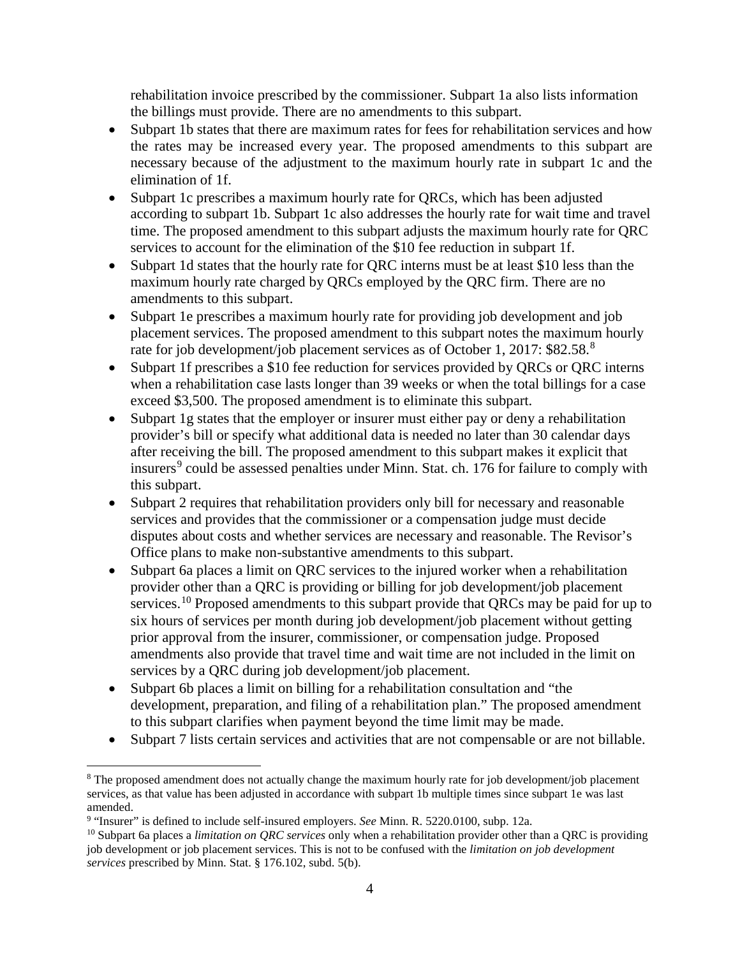rehabilitation invoice prescribed by the commissioner. Subpart 1a also lists information the billings must provide. There are no amendments to this subpart.

- Subpart 1b states that there are maximum rates for fees for rehabilitation services and how the rates may be increased every year. The proposed amendments to this subpart are necessary because of the adjustment to the maximum hourly rate in subpart 1c and the elimination of 1f.
- Subpart 1c prescribes a maximum hourly rate for QRCs, which has been adjusted according to subpart 1b. Subpart 1c also addresses the hourly rate for wait time and travel time. The proposed amendment to this subpart adjusts the maximum hourly rate for QRC services to account for the elimination of the \$10 fee reduction in subpart 1f.
- Subpart 1d states that the hourly rate for QRC interns must be at least \$10 less than the maximum hourly rate charged by QRCs employed by the QRC firm. There are no amendments to this subpart.
- Subpart 1e prescribes a maximum hourly rate for providing job development and job placement services. The proposed amendment to this subpart notes the maximum hourly rate for job development/job placement services as of October 1, 2017: \$[8](#page-3-0)2.58.8
- Subpart 1f prescribes a \$10 fee reduction for services provided by QRCs or QRC interns when a rehabilitation case lasts longer than 39 weeks or when the total billings for a case exceed \$3,500. The proposed amendment is to eliminate this subpart.
- Subpart 1g states that the employer or insurer must either pay or deny a rehabilitation provider's bill or specify what additional data is needed no later than 30 calendar days after receiving the bill. The proposed amendment to this subpart makes it explicit that insurers<sup>[9](#page-3-1)</sup> could be assessed penalties under Minn. Stat. ch. 176 for failure to comply with this subpart.
- Subpart 2 requires that rehabilitation providers only bill for necessary and reasonable services and provides that the commissioner or a compensation judge must decide disputes about costs and whether services are necessary and reasonable. The Revisor's Office plans to make non-substantive amendments to this subpart.
- Subpart 6a places a limit on QRC services to the injured worker when a rehabilitation provider other than a QRC is providing or billing for job development/job placement services.<sup>[10](#page-3-2)</sup> Proposed amendments to this subpart provide that QRCs may be paid for up to six hours of services per month during job development/job placement without getting prior approval from the insurer, commissioner, or compensation judge. Proposed amendments also provide that travel time and wait time are not included in the limit on services by a QRC during job development/job placement.
- Subpart 6b places a limit on billing for a rehabilitation consultation and "the development, preparation, and filing of a rehabilitation plan." The proposed amendment to this subpart clarifies when payment beyond the time limit may be made.
- Subpart 7 lists certain services and activities that are not compensable or are not billable.

<span id="page-3-0"></span> <sup>8</sup> The proposed amendment does not actually change the maximum hourly rate for job development/job placement services, as that value has been adjusted in accordance with subpart 1b multiple times since subpart 1e was last amended.

<span id="page-3-1"></span><sup>9</sup> "Insurer" is defined to include self-insured employers. *See* Minn. R. 5220.0100, subp. 12a.

<span id="page-3-2"></span><sup>10</sup> Subpart 6a places a *limitation on QRC services* only when a rehabilitation provider other than a QRC is providing job development or job placement services. This is not to be confused with the *limitation on job development services* prescribed by Minn. Stat. § 176.102, subd. 5(b).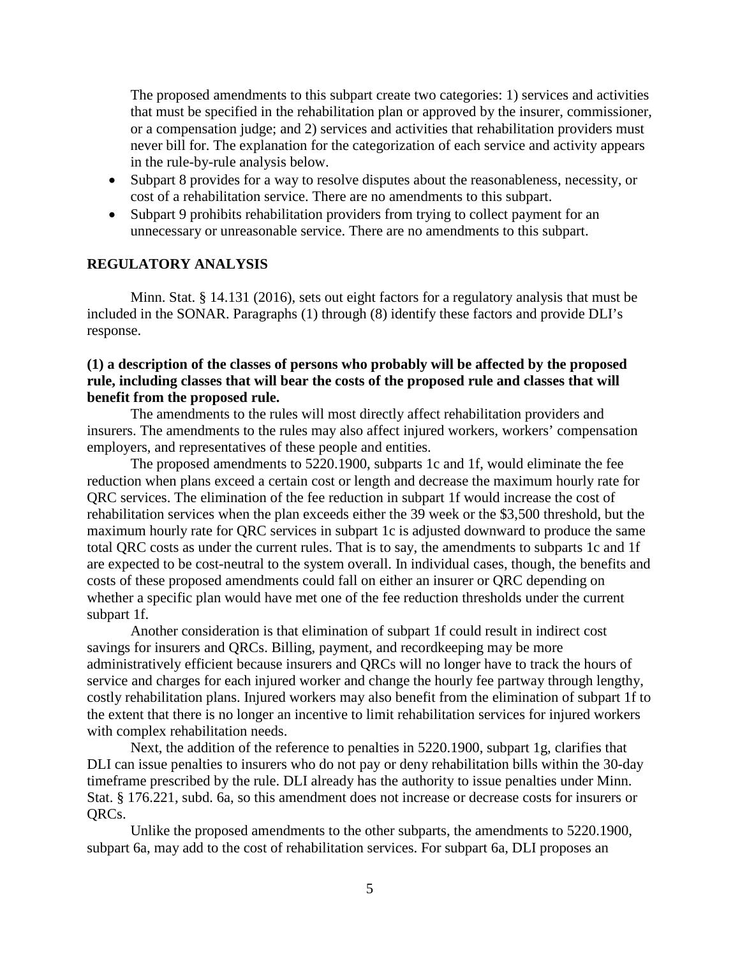The proposed amendments to this subpart create two categories: 1) services and activities that must be specified in the rehabilitation plan or approved by the insurer, commissioner, or a compensation judge; and 2) services and activities that rehabilitation providers must never bill for. The explanation for the categorization of each service and activity appears in the rule-by-rule analysis below.

- Subpart 8 provides for a way to resolve disputes about the reasonableness, necessity, or cost of a rehabilitation service. There are no amendments to this subpart.
- Subpart 9 prohibits rehabilitation providers from trying to collect payment for an unnecessary or unreasonable service. There are no amendments to this subpart.

#### **REGULATORY ANALYSIS**

Minn. Stat. § 14.131 (2016), sets out eight factors for a regulatory analysis that must be included in the SONAR. Paragraphs (1) through (8) identify these factors and provide DLI's response.

## **(1) a description of the classes of persons who probably will be affected by the proposed rule, including classes that will bear the costs of the proposed rule and classes that will benefit from the proposed rule.**

The amendments to the rules will most directly affect rehabilitation providers and insurers. The amendments to the rules may also affect injured workers, workers' compensation employers, and representatives of these people and entities.

The proposed amendments to 5220.1900, subparts 1c and 1f, would eliminate the fee reduction when plans exceed a certain cost or length and decrease the maximum hourly rate for QRC services. The elimination of the fee reduction in subpart 1f would increase the cost of rehabilitation services when the plan exceeds either the 39 week or the \$3,500 threshold, but the maximum hourly rate for QRC services in subpart 1c is adjusted downward to produce the same total QRC costs as under the current rules. That is to say, the amendments to subparts 1c and 1f are expected to be cost-neutral to the system overall. In individual cases, though, the benefits and costs of these proposed amendments could fall on either an insurer or QRC depending on whether a specific plan would have met one of the fee reduction thresholds under the current subpart 1f.

Another consideration is that elimination of subpart 1f could result in indirect cost savings for insurers and QRCs. Billing, payment, and recordkeeping may be more administratively efficient because insurers and QRCs will no longer have to track the hours of service and charges for each injured worker and change the hourly fee partway through lengthy, costly rehabilitation plans. Injured workers may also benefit from the elimination of subpart 1f to the extent that there is no longer an incentive to limit rehabilitation services for injured workers with complex rehabilitation needs.

Next, the addition of the reference to penalties in 5220.1900, subpart 1g, clarifies that DLI can issue penalties to insurers who do not pay or deny rehabilitation bills within the 30-day timeframe prescribed by the rule. DLI already has the authority to issue penalties under Minn. Stat. § 176.221, subd. 6a, so this amendment does not increase or decrease costs for insurers or QRCs.

Unlike the proposed amendments to the other subparts, the amendments to 5220.1900, subpart 6a, may add to the cost of rehabilitation services. For subpart 6a, DLI proposes an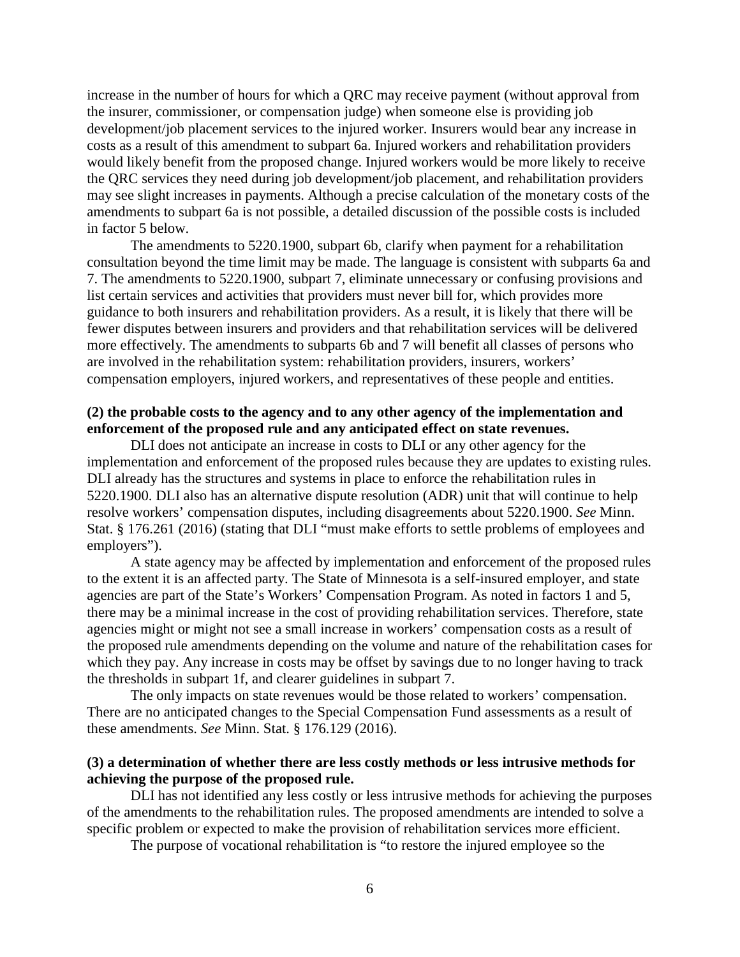increase in the number of hours for which a QRC may receive payment (without approval from the insurer, commissioner, or compensation judge) when someone else is providing job development/job placement services to the injured worker. Insurers would bear any increase in costs as a result of this amendment to subpart 6a. Injured workers and rehabilitation providers would likely benefit from the proposed change. Injured workers would be more likely to receive the QRC services they need during job development/job placement, and rehabilitation providers may see slight increases in payments. Although a precise calculation of the monetary costs of the amendments to subpart 6a is not possible, a detailed discussion of the possible costs is included in factor 5 below.

The amendments to 5220.1900, subpart 6b, clarify when payment for a rehabilitation consultation beyond the time limit may be made. The language is consistent with subparts 6a and 7. The amendments to 5220.1900, subpart 7, eliminate unnecessary or confusing provisions and list certain services and activities that providers must never bill for, which provides more guidance to both insurers and rehabilitation providers. As a result, it is likely that there will be fewer disputes between insurers and providers and that rehabilitation services will be delivered more effectively. The amendments to subparts 6b and 7 will benefit all classes of persons who are involved in the rehabilitation system: rehabilitation providers, insurers, workers' compensation employers, injured workers, and representatives of these people and entities.

## **(2) the probable costs to the agency and to any other agency of the implementation and enforcement of the proposed rule and any anticipated effect on state revenues.**

DLI does not anticipate an increase in costs to DLI or any other agency for the implementation and enforcement of the proposed rules because they are updates to existing rules. DLI already has the structures and systems in place to enforce the rehabilitation rules in 5220.1900. DLI also has an alternative dispute resolution (ADR) unit that will continue to help resolve workers' compensation disputes, including disagreements about 5220.1900. *See* Minn. Stat. § 176.261 (2016) (stating that DLI "must make efforts to settle problems of employees and employers").

A state agency may be affected by implementation and enforcement of the proposed rules to the extent it is an affected party. The State of Minnesota is a self-insured employer, and state agencies are part of the State's Workers' Compensation Program. As noted in factors 1 and 5, there may be a minimal increase in the cost of providing rehabilitation services. Therefore, state agencies might or might not see a small increase in workers' compensation costs as a result of the proposed rule amendments depending on the volume and nature of the rehabilitation cases for which they pay. Any increase in costs may be offset by savings due to no longer having to track the thresholds in subpart 1f, and clearer guidelines in subpart 7.

The only impacts on state revenues would be those related to workers' compensation. There are no anticipated changes to the Special Compensation Fund assessments as a result of these amendments. *See* Minn. Stat. § 176.129 (2016).

## **(3) a determination of whether there are less costly methods or less intrusive methods for achieving the purpose of the proposed rule.**

DLI has not identified any less costly or less intrusive methods for achieving the purposes of the amendments to the rehabilitation rules. The proposed amendments are intended to solve a specific problem or expected to make the provision of rehabilitation services more efficient.

The purpose of vocational rehabilitation is "to restore the injured employee so the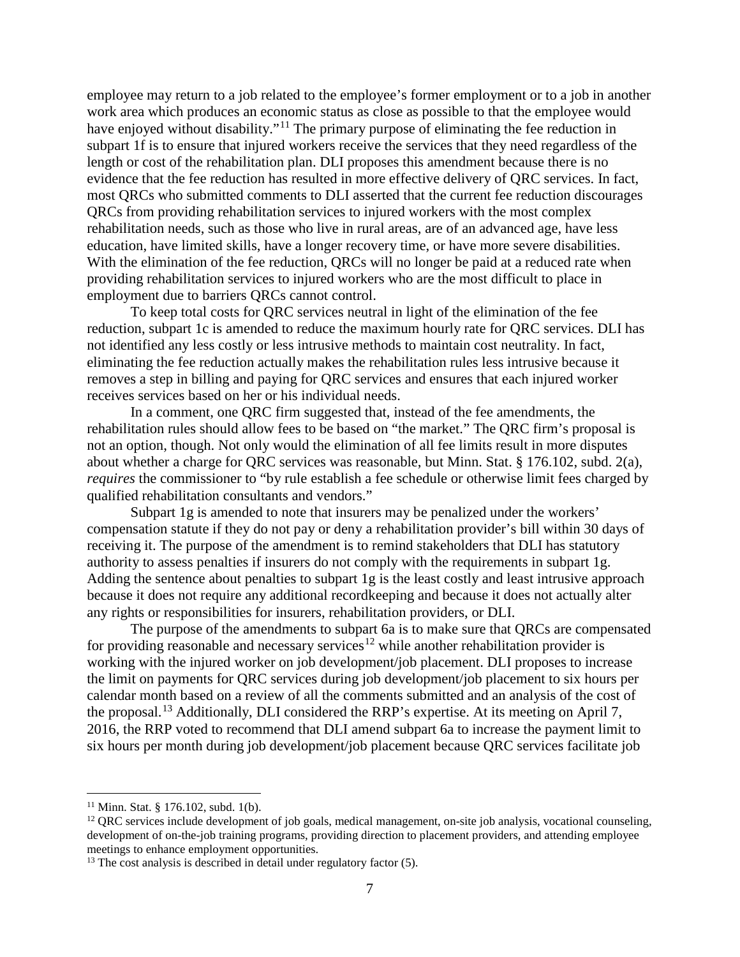employee may return to a job related to the employee's former employment or to a job in another work area which produces an economic status as close as possible to that the employee would have enjoyed without disability."<sup>[11](#page-6-0)</sup> The primary purpose of eliminating the fee reduction in subpart 1f is to ensure that injured workers receive the services that they need regardless of the length or cost of the rehabilitation plan. DLI proposes this amendment because there is no evidence that the fee reduction has resulted in more effective delivery of QRC services. In fact, most QRCs who submitted comments to DLI asserted that the current fee reduction discourages QRCs from providing rehabilitation services to injured workers with the most complex rehabilitation needs, such as those who live in rural areas, are of an advanced age, have less education, have limited skills, have a longer recovery time, or have more severe disabilities. With the elimination of the fee reduction, QRCs will no longer be paid at a reduced rate when providing rehabilitation services to injured workers who are the most difficult to place in employment due to barriers QRCs cannot control.

To keep total costs for QRC services neutral in light of the elimination of the fee reduction, subpart 1c is amended to reduce the maximum hourly rate for QRC services. DLI has not identified any less costly or less intrusive methods to maintain cost neutrality. In fact, eliminating the fee reduction actually makes the rehabilitation rules less intrusive because it removes a step in billing and paying for QRC services and ensures that each injured worker receives services based on her or his individual needs.

In a comment, one QRC firm suggested that, instead of the fee amendments, the rehabilitation rules should allow fees to be based on "the market." The QRC firm's proposal is not an option, though. Not only would the elimination of all fee limits result in more disputes about whether a charge for QRC services was reasonable, but Minn. Stat. § 176.102, subd. 2(a), *requires* the commissioner to "by rule establish a fee schedule or otherwise limit fees charged by qualified rehabilitation consultants and vendors."

Subpart 1g is amended to note that insurers may be penalized under the workers' compensation statute if they do not pay or deny a rehabilitation provider's bill within 30 days of receiving it. The purpose of the amendment is to remind stakeholders that DLI has statutory authority to assess penalties if insurers do not comply with the requirements in subpart 1g. Adding the sentence about penalties to subpart 1g is the least costly and least intrusive approach because it does not require any additional recordkeeping and because it does not actually alter any rights or responsibilities for insurers, rehabilitation providers, or DLI.

The purpose of the amendments to subpart 6a is to make sure that QRCs are compensated for providing reasonable and necessary services<sup>[12](#page-6-1)</sup> while another rehabilitation provider is working with the injured worker on job development/job placement. DLI proposes to increase the limit on payments for QRC services during job development/job placement to six hours per calendar month based on a review of all the comments submitted and an analysis of the cost of the proposal.<sup>[13](#page-6-2)</sup> Additionally, DLI considered the RRP's expertise. At its meeting on April 7, 2016, the RRP voted to recommend that DLI amend subpart 6a to increase the payment limit to six hours per month during job development/job placement because QRC services facilitate job

<span id="page-6-0"></span> $11$  Minn. Stat. § 176.102, subd. 1(b).

<span id="page-6-1"></span> $12$  QRC services include development of job goals, medical management, on-site job analysis, vocational counseling, development of on-the-job training programs, providing direction to placement providers, and attending employee meetings to enhance employment opportunities.

<span id="page-6-2"></span> $13$  The cost analysis is described in detail under regulatory factor (5).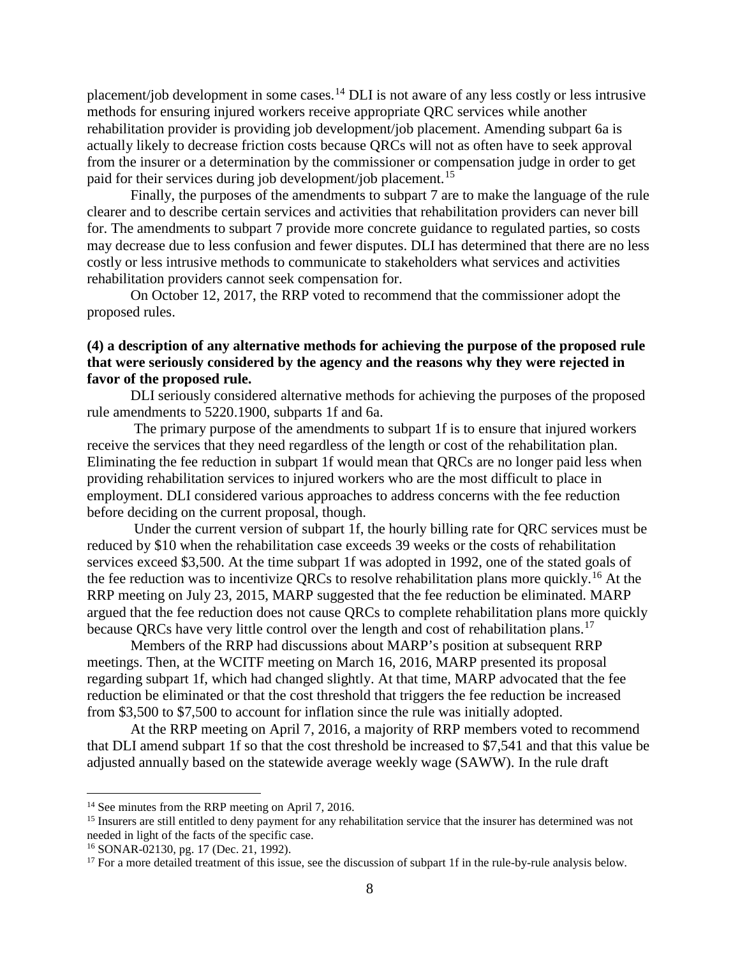placement/job development in some cases.<sup>[14](#page-7-0)</sup> DLI is not aware of any less costly or less intrusive methods for ensuring injured workers receive appropriate QRC services while another rehabilitation provider is providing job development/job placement. Amending subpart 6a is actually likely to decrease friction costs because QRCs will not as often have to seek approval from the insurer or a determination by the commissioner or compensation judge in order to get paid for their services during job development/job placement.<sup>[15](#page-7-1)</sup>

Finally, the purposes of the amendments to subpart 7 are to make the language of the rule clearer and to describe certain services and activities that rehabilitation providers can never bill for. The amendments to subpart 7 provide more concrete guidance to regulated parties, so costs may decrease due to less confusion and fewer disputes. DLI has determined that there are no less costly or less intrusive methods to communicate to stakeholders what services and activities rehabilitation providers cannot seek compensation for.

On October 12, 2017, the RRP voted to recommend that the commissioner adopt the proposed rules.

## **(4) a description of any alternative methods for achieving the purpose of the proposed rule that were seriously considered by the agency and the reasons why they were rejected in favor of the proposed rule.**

DLI seriously considered alternative methods for achieving the purposes of the proposed rule amendments to 5220.1900, subparts 1f and 6a.

The primary purpose of the amendments to subpart 1f is to ensure that injured workers receive the services that they need regardless of the length or cost of the rehabilitation plan. Eliminating the fee reduction in subpart 1f would mean that QRCs are no longer paid less when providing rehabilitation services to injured workers who are the most difficult to place in employment. DLI considered various approaches to address concerns with the fee reduction before deciding on the current proposal, though.

Under the current version of subpart 1f, the hourly billing rate for QRC services must be reduced by \$10 when the rehabilitation case exceeds 39 weeks or the costs of rehabilitation services exceed \$3,500. At the time subpart 1f was adopted in 1992, one of the stated goals of the fee reduction was to incentivize QRCs to resolve rehabilitation plans more quickly.<sup>[16](#page-7-2)</sup> At the RRP meeting on July 23, 2015, MARP suggested that the fee reduction be eliminated. MARP argued that the fee reduction does not cause QRCs to complete rehabilitation plans more quickly because QRCs have very little control over the length and cost of rehabilitation plans.<sup>[17](#page-7-3)</sup>

Members of the RRP had discussions about MARP's position at subsequent RRP meetings. Then, at the WCITF meeting on March 16, 2016, MARP presented its proposal regarding subpart 1f, which had changed slightly. At that time, MARP advocated that the fee reduction be eliminated or that the cost threshold that triggers the fee reduction be increased from \$3,500 to \$7,500 to account for inflation since the rule was initially adopted.

At the RRP meeting on April 7, 2016, a majority of RRP members voted to recommend that DLI amend subpart 1f so that the cost threshold be increased to \$7,541 and that this value be adjusted annually based on the statewide average weekly wage (SAWW). In the rule draft

<span id="page-7-0"></span><sup>&</sup>lt;sup>14</sup> See minutes from the RRP meeting on April 7, 2016.

<span id="page-7-1"></span><sup>&</sup>lt;sup>15</sup> Insurers are still entitled to deny payment for any rehabilitation service that the insurer has determined was not needed in light of the facts of the specific case.

<sup>16</sup> SONAR-02130, pg. 17 (Dec. 21, 1992).

<span id="page-7-3"></span><span id="page-7-2"></span><sup>&</sup>lt;sup>17</sup> For a more detailed treatment of this issue, see the discussion of subpart 1f in the rule-by-rule analysis below.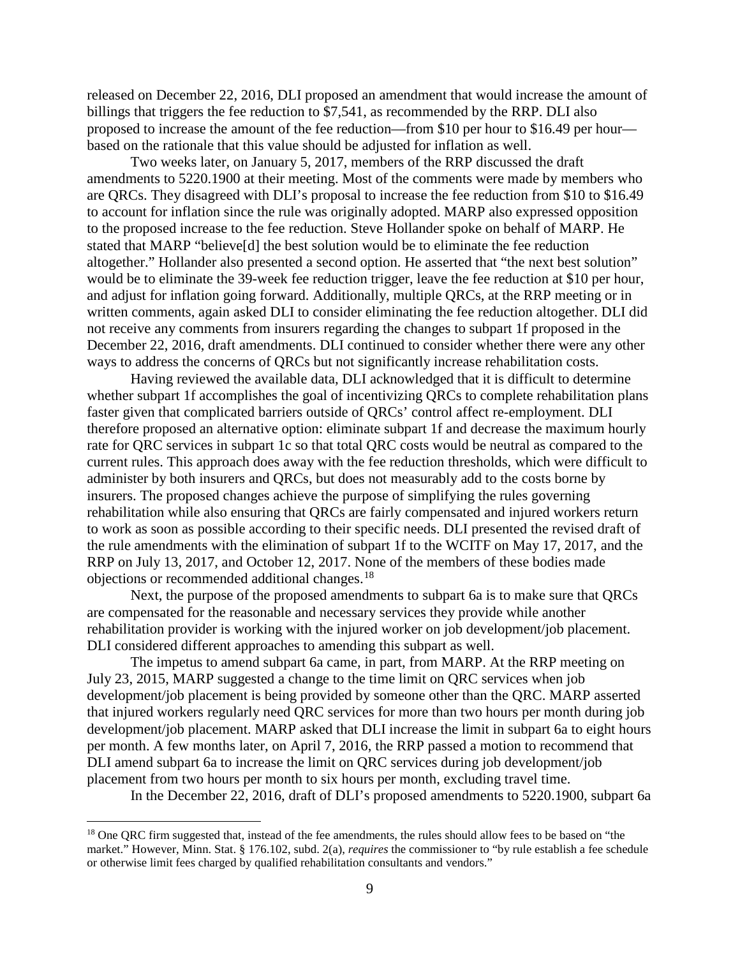released on December 22, 2016, DLI proposed an amendment that would increase the amount of billings that triggers the fee reduction to \$7,541, as recommended by the RRP. DLI also proposed to increase the amount of the fee reduction—from \$10 per hour to \$16.49 per hour based on the rationale that this value should be adjusted for inflation as well.

Two weeks later, on January 5, 2017, members of the RRP discussed the draft amendments to 5220.1900 at their meeting. Most of the comments were made by members who are QRCs. They disagreed with DLI's proposal to increase the fee reduction from \$10 to \$16.49 to account for inflation since the rule was originally adopted. MARP also expressed opposition to the proposed increase to the fee reduction. Steve Hollander spoke on behalf of MARP. He stated that MARP "believe[d] the best solution would be to eliminate the fee reduction altogether." Hollander also presented a second option. He asserted that "the next best solution" would be to eliminate the 39-week fee reduction trigger, leave the fee reduction at \$10 per hour, and adjust for inflation going forward. Additionally, multiple QRCs, at the RRP meeting or in written comments, again asked DLI to consider eliminating the fee reduction altogether. DLI did not receive any comments from insurers regarding the changes to subpart 1f proposed in the December 22, 2016, draft amendments. DLI continued to consider whether there were any other ways to address the concerns of QRCs but not significantly increase rehabilitation costs.

Having reviewed the available data, DLI acknowledged that it is difficult to determine whether subpart 1f accomplishes the goal of incentivizing QRCs to complete rehabilitation plans faster given that complicated barriers outside of QRCs' control affect re-employment. DLI therefore proposed an alternative option: eliminate subpart 1f and decrease the maximum hourly rate for QRC services in subpart 1c so that total QRC costs would be neutral as compared to the current rules. This approach does away with the fee reduction thresholds, which were difficult to administer by both insurers and QRCs, but does not measurably add to the costs borne by insurers. The proposed changes achieve the purpose of simplifying the rules governing rehabilitation while also ensuring that QRCs are fairly compensated and injured workers return to work as soon as possible according to their specific needs. DLI presented the revised draft of the rule amendments with the elimination of subpart 1f to the WCITF on May 17, 2017, and the RRP on July 13, 2017, and October 12, 2017. None of the members of these bodies made objections or recommended additional changes.[18](#page-8-0)

Next, the purpose of the proposed amendments to subpart 6a is to make sure that QRCs are compensated for the reasonable and necessary services they provide while another rehabilitation provider is working with the injured worker on job development/job placement. DLI considered different approaches to amending this subpart as well.

The impetus to amend subpart 6a came, in part, from MARP. At the RRP meeting on July 23, 2015, MARP suggested a change to the time limit on QRC services when job development/job placement is being provided by someone other than the QRC. MARP asserted that injured workers regularly need QRC services for more than two hours per month during job development/job placement. MARP asked that DLI increase the limit in subpart 6a to eight hours per month. A few months later, on April 7, 2016, the RRP passed a motion to recommend that DLI amend subpart 6a to increase the limit on QRC services during job development/job placement from two hours per month to six hours per month, excluding travel time.

In the December 22, 2016, draft of DLI's proposed amendments to 5220.1900, subpart 6a

<span id="page-8-0"></span><sup>&</sup>lt;sup>18</sup> One QRC firm suggested that, instead of the fee amendments, the rules should allow fees to be based on "the market." However, Minn. Stat. § 176.102, subd. 2(a), *requires* the commissioner to "by rule establish a fee schedule or otherwise limit fees charged by qualified rehabilitation consultants and vendors."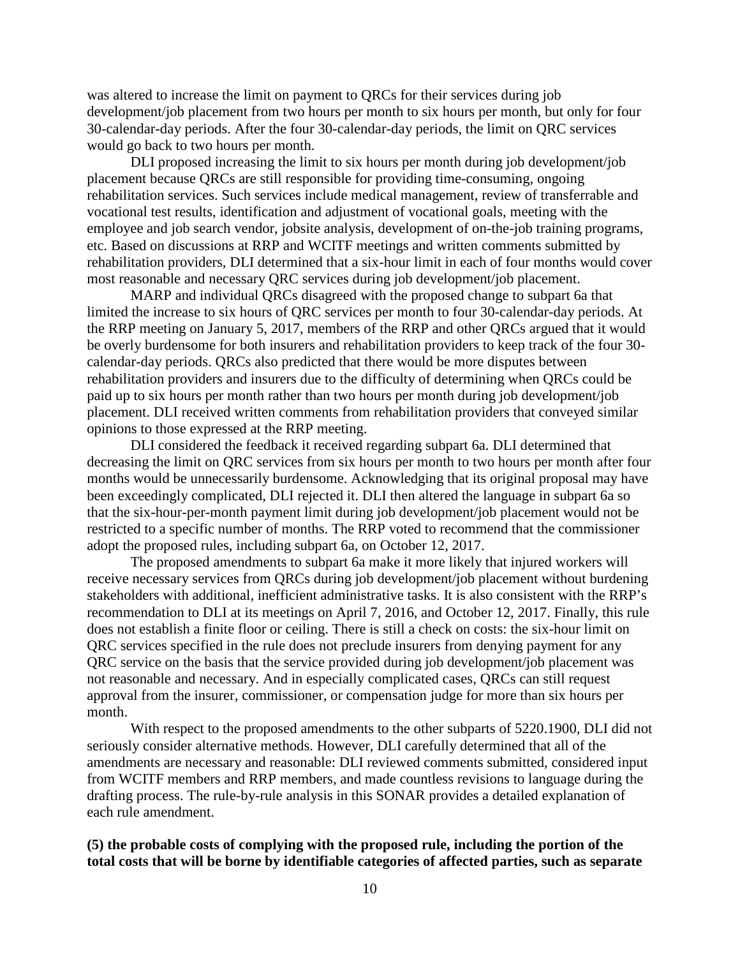was altered to increase the limit on payment to QRCs for their services during job development/job placement from two hours per month to six hours per month, but only for four 30-calendar-day periods. After the four 30-calendar-day periods, the limit on QRC services would go back to two hours per month.

DLI proposed increasing the limit to six hours per month during job development/job placement because QRCs are still responsible for providing time-consuming, ongoing rehabilitation services. Such services include medical management, review of transferrable and vocational test results, identification and adjustment of vocational goals, meeting with the employee and job search vendor, jobsite analysis, development of on-the-job training programs, etc. Based on discussions at RRP and WCITF meetings and written comments submitted by rehabilitation providers, DLI determined that a six-hour limit in each of four months would cover most reasonable and necessary QRC services during job development/job placement.

MARP and individual QRCs disagreed with the proposed change to subpart 6a that limited the increase to six hours of QRC services per month to four 30-calendar-day periods. At the RRP meeting on January 5, 2017, members of the RRP and other QRCs argued that it would be overly burdensome for both insurers and rehabilitation providers to keep track of the four 30 calendar-day periods. QRCs also predicted that there would be more disputes between rehabilitation providers and insurers due to the difficulty of determining when QRCs could be paid up to six hours per month rather than two hours per month during job development/job placement. DLI received written comments from rehabilitation providers that conveyed similar opinions to those expressed at the RRP meeting.

DLI considered the feedback it received regarding subpart 6a. DLI determined that decreasing the limit on QRC services from six hours per month to two hours per month after four months would be unnecessarily burdensome. Acknowledging that its original proposal may have been exceedingly complicated, DLI rejected it. DLI then altered the language in subpart 6a so that the six-hour-per-month payment limit during job development/job placement would not be restricted to a specific number of months. The RRP voted to recommend that the commissioner adopt the proposed rules, including subpart 6a, on October 12, 2017.

The proposed amendments to subpart 6a make it more likely that injured workers will receive necessary services from QRCs during job development/job placement without burdening stakeholders with additional, inefficient administrative tasks. It is also consistent with the RRP's recommendation to DLI at its meetings on April 7, 2016, and October 12, 2017. Finally, this rule does not establish a finite floor or ceiling. There is still a check on costs: the six-hour limit on QRC services specified in the rule does not preclude insurers from denying payment for any QRC service on the basis that the service provided during job development/job placement was not reasonable and necessary. And in especially complicated cases, QRCs can still request approval from the insurer, commissioner, or compensation judge for more than six hours per month.

With respect to the proposed amendments to the other subparts of 5220.1900, DLI did not seriously consider alternative methods. However, DLI carefully determined that all of the amendments are necessary and reasonable: DLI reviewed comments submitted, considered input from WCITF members and RRP members, and made countless revisions to language during the drafting process. The rule-by-rule analysis in this SONAR provides a detailed explanation of each rule amendment.

## **(5) the probable costs of complying with the proposed rule, including the portion of the total costs that will be borne by identifiable categories of affected parties, such as separate**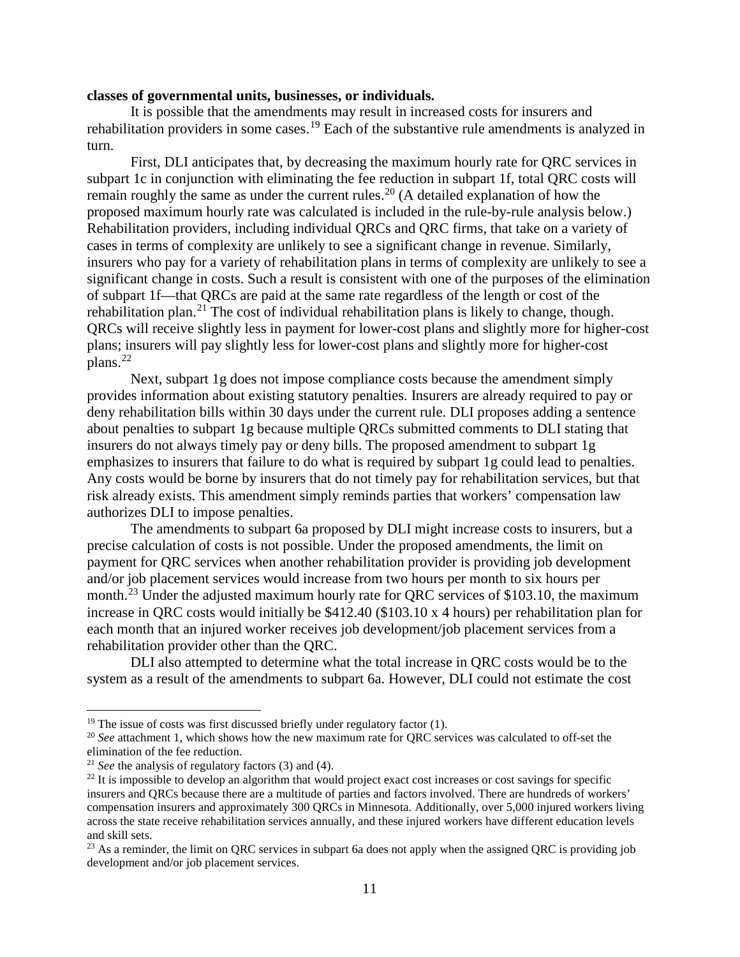#### **classes of governmental units, businesses, or individuals.**

It is possible that the amendments may result in increased costs for insurers and rehabilitation providers in some cases.<sup>[19](#page-10-0)</sup> Each of the substantive rule amendments is analyzed in turn.

First, DLI anticipates that, by decreasing the maximum hourly rate for QRC services in subpart 1c in conjunction with eliminating the fee reduction in subpart 1f, total QRC costs will remain roughly the same as under the current rules.<sup>[20](#page-10-1)</sup> (A detailed explanation of how the proposed maximum hourly rate was calculated is included in the rule-by-rule analysis below.) Rehabilitation providers, including individual QRCs and QRC firms, that take on a variety of cases in terms of complexity are unlikely to see a significant change in revenue. Similarly, insurers who pay for a variety of rehabilitation plans in terms of complexity are unlikely to see a significant change in costs. Such a result is consistent with one of the purposes of the elimination of subpart 1f—that QRCs are paid at the same rate regardless of the length or cost of the rehabilitation plan.<sup>[21](#page-10-2)</sup> The cost of individual rehabilitation plans is likely to change, though. QRCs will receive slightly less in payment for lower-cost plans and slightly more for higher-cost plans; insurers will pay slightly less for lower-cost plans and slightly more for higher-cost plans. $^{22}$  $^{22}$  $^{22}$ 

Next, subpart 1g does not impose compliance costs because the amendment simply provides information about existing statutory penalties. Insurers are already required to pay or deny rehabilitation bills within 30 days under the current rule. DLI proposes adding a sentence about penalties to subpart 1g because multiple QRCs submitted comments to DLI stating that insurers do not always timely pay or deny bills. The proposed amendment to subpart 1g emphasizes to insurers that failure to do what is required by subpart 1g could lead to penalties. Any costs would be borne by insurers that do not timely pay for rehabilitation services, but that risk already exists. This amendment simply reminds parties that workers' compensation law authorizes DLI to impose penalties.

The amendments to subpart 6a proposed by DLI might increase costs to insurers, but a precise calculation of costs is not possible. Under the proposed amendments, the limit on payment for QRC services when another rehabilitation provider is providing job development and/or job placement services would increase from two hours per month to six hours per month.<sup>[23](#page-10-4)</sup> Under the adjusted maximum hourly rate for QRC services of \$103.10, the maximum increase in QRC costs would initially be \$412.40 (\$103.10 x 4 hours) per rehabilitation plan for each month that an injured worker receives job development/job placement services from a rehabilitation provider other than the QRC.

DLI also attempted to determine what the total increase in QRC costs would be to the system as a result of the amendments to subpart 6a. However, DLI could not estimate the cost

<span id="page-10-1"></span><span id="page-10-0"></span><sup>&</sup>lt;sup>19</sup> The issue of costs was first discussed briefly under regulatory factor (1).<br><sup>20</sup> *See* attachment 1, which shows how the new maximum rate for QRC services was calculated to off-set the elimination of the fee reduction.<br><sup>21</sup> *See* the analysis of regulatory factors (3) and (4).

<span id="page-10-2"></span>

<span id="page-10-3"></span><sup>&</sup>lt;sup>22</sup> It is impossible to develop an algorithm that would project exact cost increases or cost savings for specific insurers and QRCs because there are a multitude of parties and factors involved. There are hundreds of workers' compensation insurers and approximately 300 QRCs in Minnesota. Additionally, over 5,000 injured workers living across the state receive rehabilitation services annually, and these injured workers have different education levels and skill sets.

<span id="page-10-4"></span><sup>&</sup>lt;sup>23</sup> As a reminder, the limit on ORC services in subpart 6a does not apply when the assigned ORC is providing job development and/or job placement services.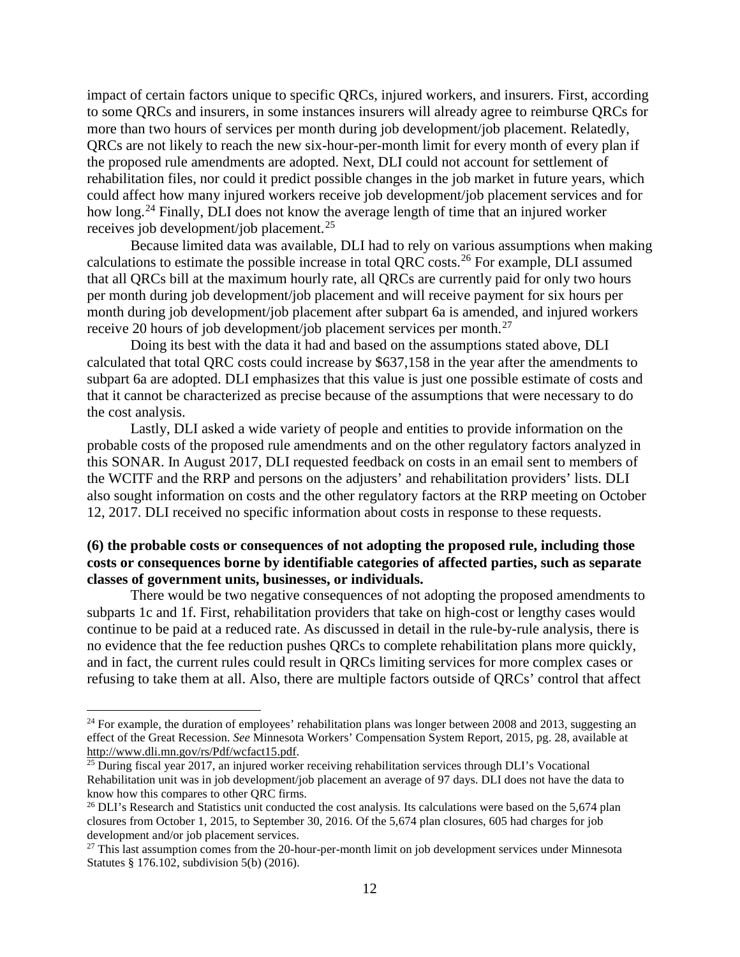impact of certain factors unique to specific QRCs, injured workers, and insurers. First, according to some QRCs and insurers, in some instances insurers will already agree to reimburse QRCs for more than two hours of services per month during job development/job placement. Relatedly, QRCs are not likely to reach the new six-hour-per-month limit for every month of every plan if the proposed rule amendments are adopted. Next, DLI could not account for settlement of rehabilitation files, nor could it predict possible changes in the job market in future years, which could affect how many injured workers receive job development/job placement services and for how long.<sup>[24](#page-11-0)</sup> Finally, DLI does not know the average length of time that an injured worker receives job development/job placement.[25](#page-11-1)

Because limited data was available, DLI had to rely on various assumptions when making calculations to estimate the possible increase in total QRC costs.[26](#page-11-2) For example, DLI assumed that all QRCs bill at the maximum hourly rate, all QRCs are currently paid for only two hours per month during job development/job placement and will receive payment for six hours per month during job development/job placement after subpart 6a is amended, and injured workers receive 20 hours of job development/job placement services per month.<sup>[27](#page-11-3)</sup>

Doing its best with the data it had and based on the assumptions stated above, DLI calculated that total QRC costs could increase by \$637,158 in the year after the amendments to subpart 6a are adopted. DLI emphasizes that this value is just one possible estimate of costs and that it cannot be characterized as precise because of the assumptions that were necessary to do the cost analysis.

Lastly, DLI asked a wide variety of people and entities to provide information on the probable costs of the proposed rule amendments and on the other regulatory factors analyzed in this SONAR. In August 2017, DLI requested feedback on costs in an email sent to members of the WCITF and the RRP and persons on the adjusters' and rehabilitation providers' lists. DLI also sought information on costs and the other regulatory factors at the RRP meeting on October 12, 2017. DLI received no specific information about costs in response to these requests.

## **(6) the probable costs or consequences of not adopting the proposed rule, including those costs or consequences borne by identifiable categories of affected parties, such as separate classes of government units, businesses, or individuals.**

There would be two negative consequences of not adopting the proposed amendments to subparts 1c and 1f. First, rehabilitation providers that take on high-cost or lengthy cases would continue to be paid at a reduced rate. As discussed in detail in the rule-by-rule analysis, there is no evidence that the fee reduction pushes QRCs to complete rehabilitation plans more quickly, and in fact, the current rules could result in QRCs limiting services for more complex cases or refusing to take them at all. Also, there are multiple factors outside of QRCs' control that affect

<span id="page-11-0"></span><sup>&</sup>lt;sup>24</sup> For example, the duration of employees' rehabilitation plans was longer between 2008 and 2013, suggesting an effect of the Great Recession. *See* Minnesota Workers' Compensation System Report, 2015, pg. 28, available at [http://www.dli.mn.gov/rs/Pdf/wcfact15.pdf.](http://www.dli.mn.gov/rs/Pdf/wcfact15.pdf)

<span id="page-11-1"></span><sup>&</sup>lt;sup>25</sup> During fiscal year 2017, an injured worker receiving rehabilitation services through DLI's Vocational Rehabilitation unit was in job development/job placement an average of 97 days. DLI does not have the data to know how this compares to other QRC firms.

<span id="page-11-2"></span> $^{26}$  DLI's Research and Statistics unit conducted the cost analysis. Its calculations were based on the 5,674 plan closures from October 1, 2015, to September 30, 2016. Of the 5,674 plan closures, 605 had charges for job development and/or job placement services.

<span id="page-11-3"></span> $27$  This last assumption comes from the 20-hour-per-month limit on job development services under Minnesota Statutes § 176.102, subdivision 5(b) (2016).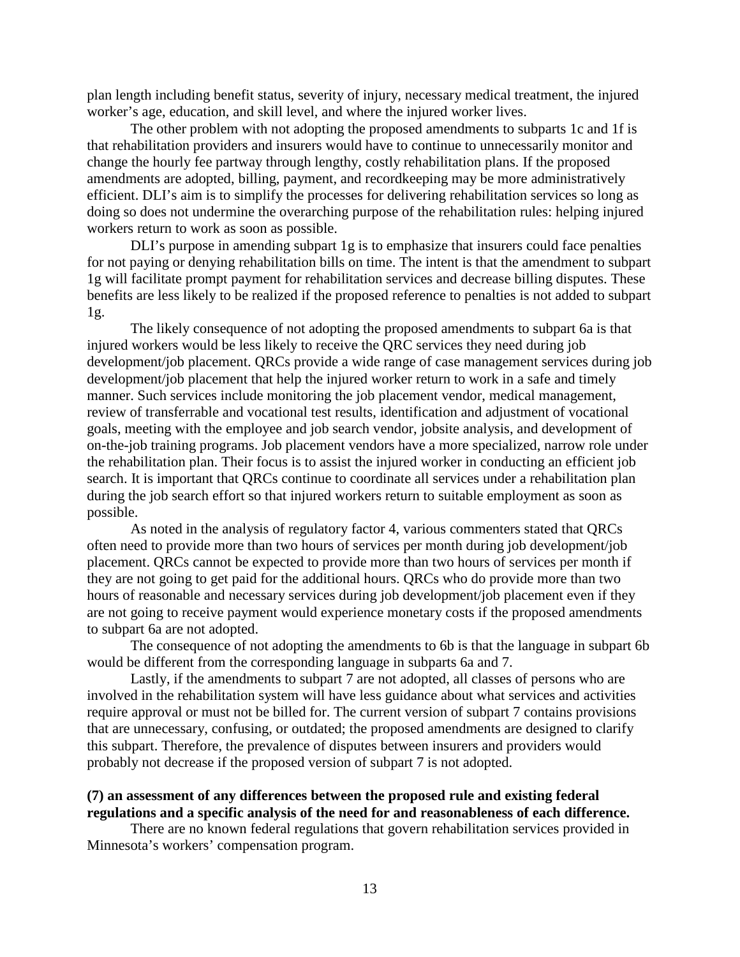plan length including benefit status, severity of injury, necessary medical treatment, the injured worker's age, education, and skill level, and where the injured worker lives.

The other problem with not adopting the proposed amendments to subparts 1c and 1f is that rehabilitation providers and insurers would have to continue to unnecessarily monitor and change the hourly fee partway through lengthy, costly rehabilitation plans. If the proposed amendments are adopted, billing, payment, and recordkeeping may be more administratively efficient. DLI's aim is to simplify the processes for delivering rehabilitation services so long as doing so does not undermine the overarching purpose of the rehabilitation rules: helping injured workers return to work as soon as possible.

DLI's purpose in amending subpart 1g is to emphasize that insurers could face penalties for not paying or denying rehabilitation bills on time. The intent is that the amendment to subpart 1g will facilitate prompt payment for rehabilitation services and decrease billing disputes. These benefits are less likely to be realized if the proposed reference to penalties is not added to subpart 1g.

The likely consequence of not adopting the proposed amendments to subpart 6a is that injured workers would be less likely to receive the QRC services they need during job development/job placement. QRCs provide a wide range of case management services during job development/job placement that help the injured worker return to work in a safe and timely manner. Such services include monitoring the job placement vendor, medical management, review of transferrable and vocational test results, identification and adjustment of vocational goals, meeting with the employee and job search vendor, jobsite analysis, and development of on-the-job training programs. Job placement vendors have a more specialized, narrow role under the rehabilitation plan. Their focus is to assist the injured worker in conducting an efficient job search. It is important that QRCs continue to coordinate all services under a rehabilitation plan during the job search effort so that injured workers return to suitable employment as soon as possible.

As noted in the analysis of regulatory factor 4, various commenters stated that QRCs often need to provide more than two hours of services per month during job development/job placement. QRCs cannot be expected to provide more than two hours of services per month if they are not going to get paid for the additional hours. QRCs who do provide more than two hours of reasonable and necessary services during job development/job placement even if they are not going to receive payment would experience monetary costs if the proposed amendments to subpart 6a are not adopted.

The consequence of not adopting the amendments to 6b is that the language in subpart 6b would be different from the corresponding language in subparts 6a and 7.

Lastly, if the amendments to subpart 7 are not adopted, all classes of persons who are involved in the rehabilitation system will have less guidance about what services and activities require approval or must not be billed for. The current version of subpart 7 contains provisions that are unnecessary, confusing, or outdated; the proposed amendments are designed to clarify this subpart. Therefore, the prevalence of disputes between insurers and providers would probably not decrease if the proposed version of subpart 7 is not adopted.

### **(7) an assessment of any differences between the proposed rule and existing federal regulations and a specific analysis of the need for and reasonableness of each difference.**

There are no known federal regulations that govern rehabilitation services provided in Minnesota's workers' compensation program.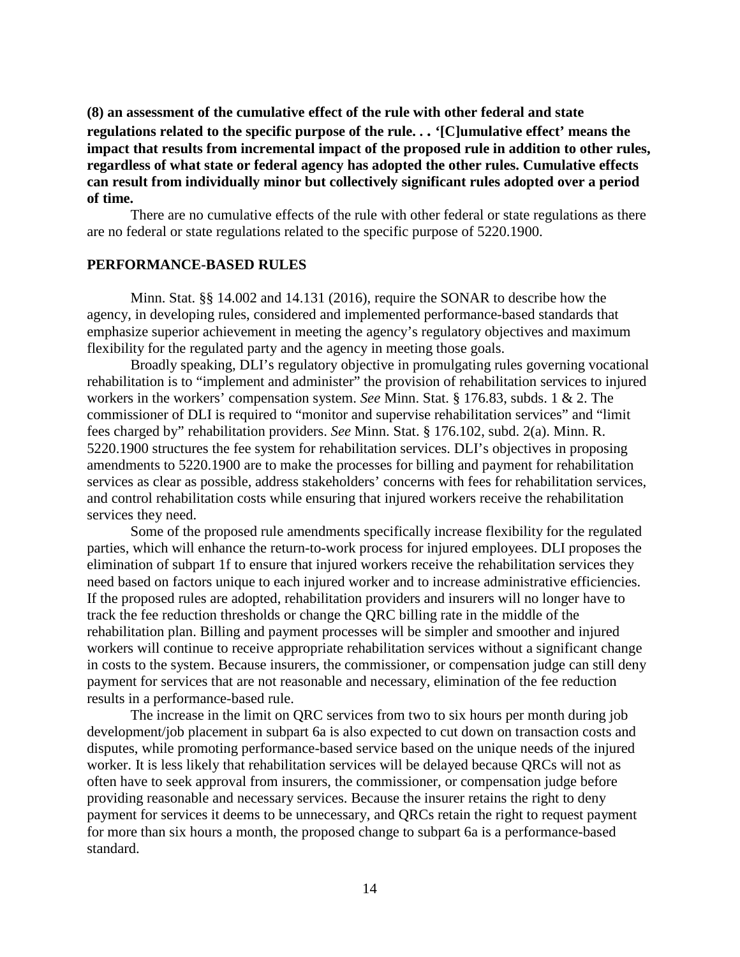**(8) an assessment of the cumulative effect of the rule with other federal and state regulations related to the specific purpose of the rule. . . '[C]umulative effect' means the impact that results from incremental impact of the proposed rule in addition to other rules, regardless of what state or federal agency has adopted the other rules. Cumulative effects can result from individually minor but collectively significant rules adopted over a period of time.**

There are no cumulative effects of the rule with other federal or state regulations as there are no federal or state regulations related to the specific purpose of 5220.1900.

#### **PERFORMANCE-BASED RULES**

Minn. Stat. §§ 14.002 and 14.131 (2016), require the SONAR to describe how the agency, in developing rules, considered and implemented performance-based standards that emphasize superior achievement in meeting the agency's regulatory objectives and maximum flexibility for the regulated party and the agency in meeting those goals.

Broadly speaking, DLI's regulatory objective in promulgating rules governing vocational rehabilitation is to "implement and administer" the provision of rehabilitation services to injured workers in the workers' compensation system. *See* Minn. Stat. § 176.83, subds. 1 & 2. The commissioner of DLI is required to "monitor and supervise rehabilitation services" and "limit fees charged by" rehabilitation providers. *See* Minn. Stat. § 176.102, subd. 2(a). Minn. R. 5220.1900 structures the fee system for rehabilitation services. DLI's objectives in proposing amendments to 5220.1900 are to make the processes for billing and payment for rehabilitation services as clear as possible, address stakeholders' concerns with fees for rehabilitation services, and control rehabilitation costs while ensuring that injured workers receive the rehabilitation services they need.

Some of the proposed rule amendments specifically increase flexibility for the regulated parties, which will enhance the return-to-work process for injured employees. DLI proposes the elimination of subpart 1f to ensure that injured workers receive the rehabilitation services they need based on factors unique to each injured worker and to increase administrative efficiencies. If the proposed rules are adopted, rehabilitation providers and insurers will no longer have to track the fee reduction thresholds or change the QRC billing rate in the middle of the rehabilitation plan. Billing and payment processes will be simpler and smoother and injured workers will continue to receive appropriate rehabilitation services without a significant change in costs to the system. Because insurers, the commissioner, or compensation judge can still deny payment for services that are not reasonable and necessary, elimination of the fee reduction results in a performance-based rule.

The increase in the limit on QRC services from two to six hours per month during job development/job placement in subpart 6a is also expected to cut down on transaction costs and disputes, while promoting performance-based service based on the unique needs of the injured worker. It is less likely that rehabilitation services will be delayed because QRCs will not as often have to seek approval from insurers, the commissioner, or compensation judge before providing reasonable and necessary services. Because the insurer retains the right to deny payment for services it deems to be unnecessary, and QRCs retain the right to request payment for more than six hours a month, the proposed change to subpart 6a is a performance-based standard.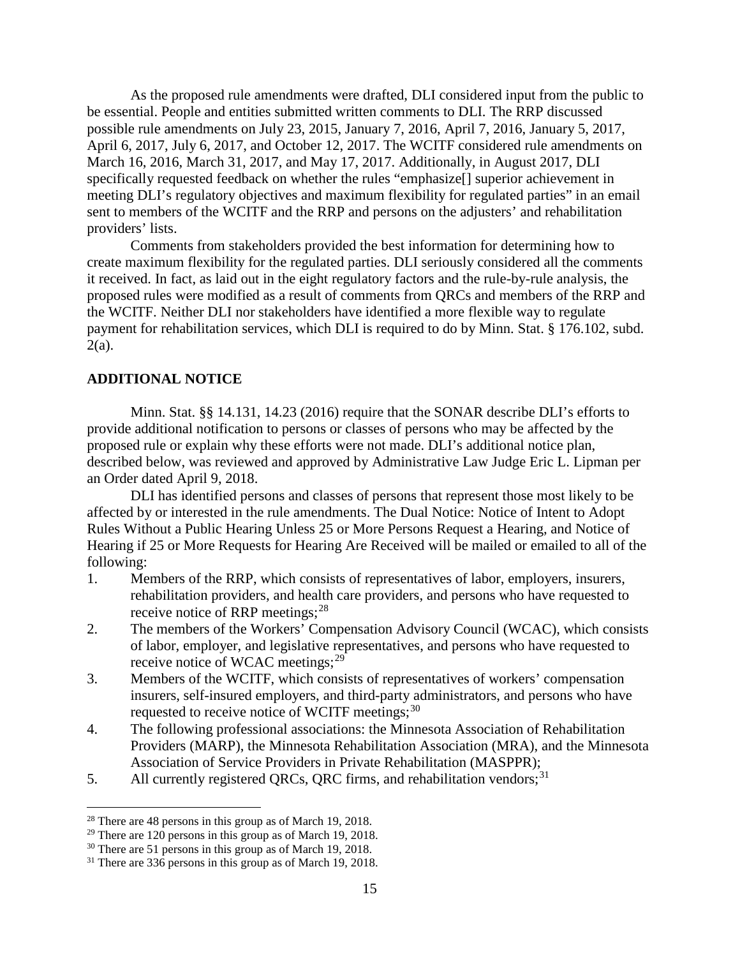As the proposed rule amendments were drafted, DLI considered input from the public to be essential. People and entities submitted written comments to DLI. The RRP discussed possible rule amendments on July 23, 2015, January 7, 2016, April 7, 2016, January 5, 2017, April 6, 2017, July 6, 2017, and October 12, 2017. The WCITF considered rule amendments on March 16, 2016, March 31, 2017, and May 17, 2017. Additionally, in August 2017, DLI specifically requested feedback on whether the rules "emphasize[] superior achievement in meeting DLI's regulatory objectives and maximum flexibility for regulated parties" in an email sent to members of the WCITF and the RRP and persons on the adjusters' and rehabilitation providers' lists.

Comments from stakeholders provided the best information for determining how to create maximum flexibility for the regulated parties. DLI seriously considered all the comments it received. In fact, as laid out in the eight regulatory factors and the rule-by-rule analysis, the proposed rules were modified as a result of comments from QRCs and members of the RRP and the WCITF. Neither DLI nor stakeholders have identified a more flexible way to regulate payment for rehabilitation services, which DLI is required to do by Minn. Stat. § 176.102, subd.  $2(a)$ .

## **ADDITIONAL NOTICE**

Minn. Stat. §§ 14.131, 14.23 (2016) require that the SONAR describe DLI's efforts to provide additional notification to persons or classes of persons who may be affected by the proposed rule or explain why these efforts were not made. DLI's additional notice plan, described below, was reviewed and approved by Administrative Law Judge Eric L. Lipman per an Order dated April 9, 2018.

DLI has identified persons and classes of persons that represent those most likely to be affected by or interested in the rule amendments. The Dual Notice: Notice of Intent to Adopt Rules Without a Public Hearing Unless 25 or More Persons Request a Hearing, and Notice of Hearing if 25 or More Requests for Hearing Are Received will be mailed or emailed to all of the following:

- 1. Members of the RRP, which consists of representatives of labor, employers, insurers, rehabilitation providers, and health care providers, and persons who have requested to receive notice of RRP meetings;  $28$
- 2. The members of the Workers' Compensation Advisory Council (WCAC), which consists of labor, employer, and legislative representatives, and persons who have requested to receive notice of WCAC meetings;<sup>[29](#page-14-1)</sup>
- 3. Members of the WCITF, which consists of representatives of workers' compensation insurers, self-insured employers, and third-party administrators, and persons who have requested to receive notice of WCITF meetings;  $30$
- 4. The following professional associations: the Minnesota Association of Rehabilitation Providers (MARP), the Minnesota Rehabilitation Association (MRA), and the Minnesota Association of Service Providers in Private Rehabilitation (MASPPR);
- 5. All currently registered QRCs, QRC firms, and rehabilitation vendors;  $31$

<span id="page-14-0"></span> <sup>28</sup> There are 48 persons in this group as of March 19, 2018.

<span id="page-14-1"></span> $29$  There are 120 persons in this group as of March 19, 2018.

<span id="page-14-2"></span><sup>&</sup>lt;sup>30</sup> There are 51 persons in this group as of March 19, 2018.

<span id="page-14-3"></span><sup>&</sup>lt;sup>31</sup> There are 336 persons in this group as of March 19, 2018.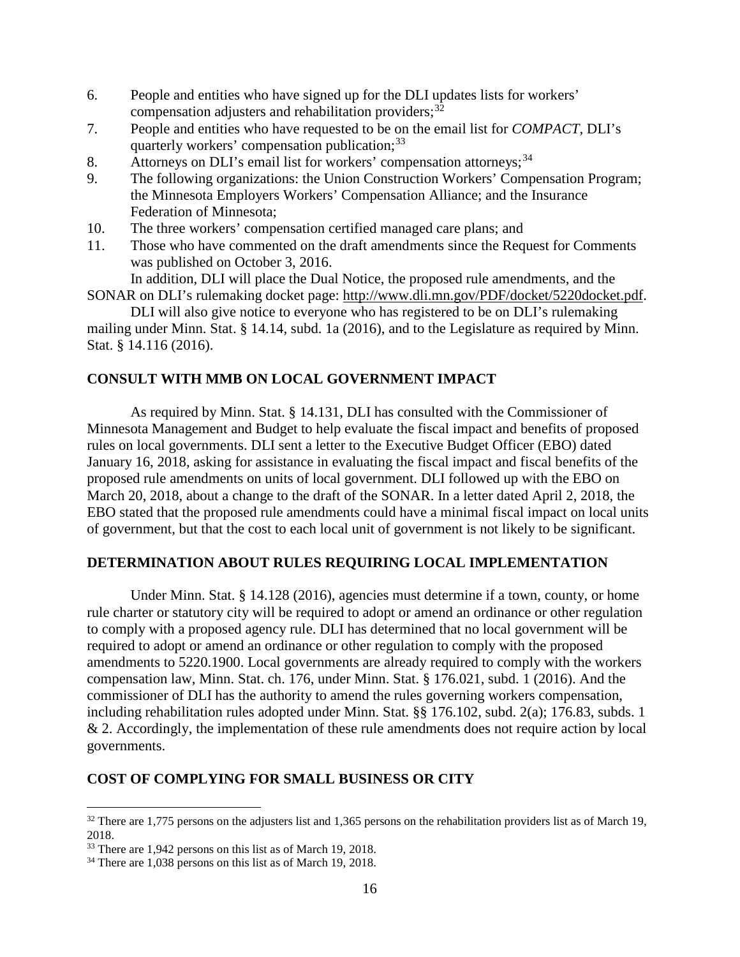- 6. People and entities who have signed up for the DLI updates lists for workers' compensation adjusters and rehabilitation providers;<sup>[32](#page-15-0)</sup>
- 7. People and entities who have requested to be on the email list for *COMPACT*, DLI's quarterly workers' compensation publication;<sup>[33](#page-15-1)</sup>
- 8. Attorneys on DLI's email list for workers' compensation attorneys;<sup>[34](#page-15-2)</sup>
- 9. The following organizations: the Union Construction Workers' Compensation Program; the Minnesota Employers Workers' Compensation Alliance; and the Insurance Federation of Minnesota;
- 10. The three workers' compensation certified managed care plans; and
- 11. Those who have commented on the draft amendments since the Request for Comments was published on October 3, 2016.

In addition, DLI will place the Dual Notice, the proposed rule amendments, and the SONAR on DLI's rulemaking docket page: [http://www.dli.mn.gov/PDF/docket/5220docket.pdf.](http://www.dli.mn.gov/PDF/docket/5220docket.pdf)

DLI will also give notice to everyone who has registered to be on DLI's rulemaking mailing under Minn. Stat. § 14.14, subd. 1a (2016), and to the Legislature as required by Minn. Stat. § 14.116 (2016).

## **CONSULT WITH MMB ON LOCAL GOVERNMENT IMPACT**

As required by Minn. Stat. § 14.131, DLI has consulted with the Commissioner of Minnesota Management and Budget to help evaluate the fiscal impact and benefits of proposed rules on local governments. DLI sent a letter to the Executive Budget Officer (EBO) dated January 16, 2018, asking for assistance in evaluating the fiscal impact and fiscal benefits of the proposed rule amendments on units of local government. DLI followed up with the EBO on March 20, 2018, about a change to the draft of the SONAR. In a letter dated April 2, 2018, the EBO stated that the proposed rule amendments could have a minimal fiscal impact on local units of government, but that the cost to each local unit of government is not likely to be significant.

## **DETERMINATION ABOUT RULES REQUIRING LOCAL IMPLEMENTATION**

Under Minn. Stat. § 14.128 (2016), agencies must determine if a town, county, or home rule charter or statutory city will be required to adopt or amend an ordinance or other regulation to comply with a proposed agency rule. DLI has determined that no local government will be required to adopt or amend an ordinance or other regulation to comply with the proposed amendments to 5220.1900. Local governments are already required to comply with the workers compensation law, Minn. Stat. ch. 176, under Minn. Stat. § 176.021, subd. 1 (2016). And the commissioner of DLI has the authority to amend the rules governing workers compensation, including rehabilitation rules adopted under Minn. Stat. §§ 176.102, subd. 2(a); 176.83, subds. 1 & 2. Accordingly, the implementation of these rule amendments does not require action by local governments.

## **COST OF COMPLYING FOR SMALL BUSINESS OR CITY**

<span id="page-15-0"></span> $32$  There are 1,775 persons on the adjusters list and 1,365 persons on the rehabilitation providers list as of March 19, 2018.

<span id="page-15-1"></span><sup>&</sup>lt;sup>33</sup> There are 1,942 persons on this list as of March 19, 2018.

<span id="page-15-2"></span><sup>&</sup>lt;sup>34</sup> There are 1,038 persons on this list as of March 19, 2018.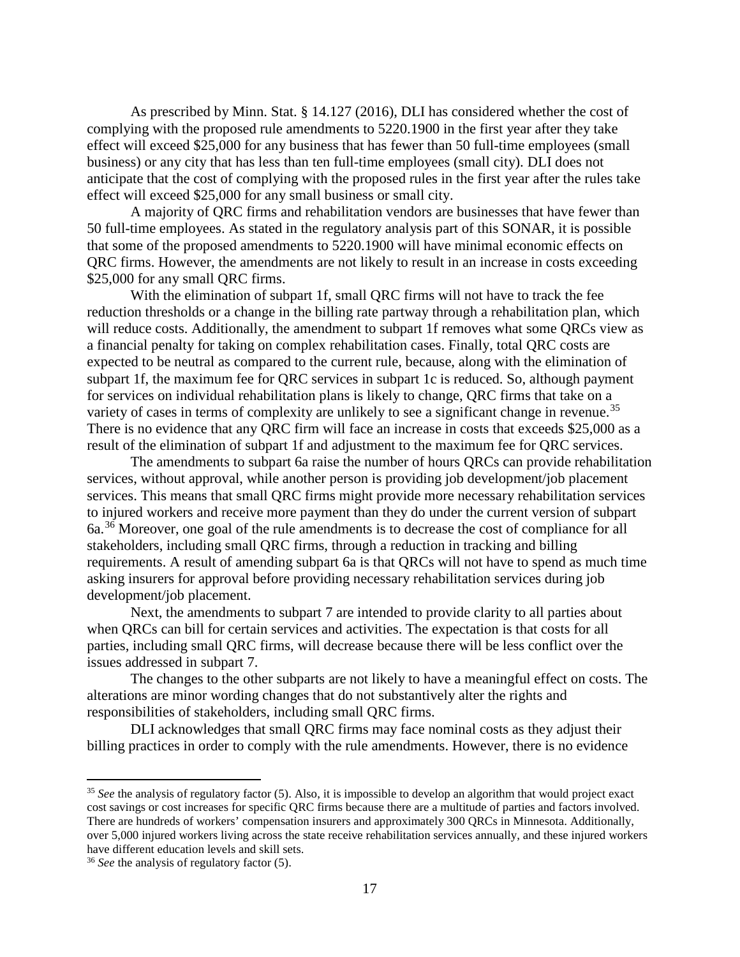As prescribed by Minn. Stat. § 14.127 (2016), DLI has considered whether the cost of complying with the proposed rule amendments to 5220.1900 in the first year after they take effect will exceed \$25,000 for any business that has fewer than 50 full-time employees (small business) or any city that has less than ten full-time employees (small city). DLI does not anticipate that the cost of complying with the proposed rules in the first year after the rules take effect will exceed \$25,000 for any small business or small city.

A majority of QRC firms and rehabilitation vendors are businesses that have fewer than 50 full-time employees. As stated in the regulatory analysis part of this SONAR, it is possible that some of the proposed amendments to 5220.1900 will have minimal economic effects on QRC firms. However, the amendments are not likely to result in an increase in costs exceeding \$25,000 for any small QRC firms.

With the elimination of subpart 1f, small QRC firms will not have to track the fee reduction thresholds or a change in the billing rate partway through a rehabilitation plan, which will reduce costs. Additionally, the amendment to subpart 1f removes what some QRCs view as a financial penalty for taking on complex rehabilitation cases. Finally, total QRC costs are expected to be neutral as compared to the current rule, because, along with the elimination of subpart 1f, the maximum fee for QRC services in subpart 1c is reduced. So, although payment for services on individual rehabilitation plans is likely to change, QRC firms that take on a variety of cases in terms of complexity are unlikely to see a significant change in revenue.<sup>[35](#page-16-0)</sup> There is no evidence that any QRC firm will face an increase in costs that exceeds \$25,000 as a result of the elimination of subpart 1f and adjustment to the maximum fee for QRC services.

The amendments to subpart 6a raise the number of hours QRCs can provide rehabilitation services, without approval, while another person is providing job development/job placement services. This means that small QRC firms might provide more necessary rehabilitation services to injured workers and receive more payment than they do under the current version of subpart 6a.[36](#page-16-1) Moreover, one goal of the rule amendments is to decrease the cost of compliance for all stakeholders, including small QRC firms, through a reduction in tracking and billing requirements. A result of amending subpart 6a is that QRCs will not have to spend as much time asking insurers for approval before providing necessary rehabilitation services during job development/job placement.

Next, the amendments to subpart 7 are intended to provide clarity to all parties about when QRCs can bill for certain services and activities. The expectation is that costs for all parties, including small QRC firms, will decrease because there will be less conflict over the issues addressed in subpart 7.

The changes to the other subparts are not likely to have a meaningful effect on costs. The alterations are minor wording changes that do not substantively alter the rights and responsibilities of stakeholders, including small QRC firms.

DLI acknowledges that small QRC firms may face nominal costs as they adjust their billing practices in order to comply with the rule amendments. However, there is no evidence

<span id="page-16-0"></span> <sup>35</sup> *See* the analysis of regulatory factor (5). Also, it is impossible to develop an algorithm that would project exact cost savings or cost increases for specific QRC firms because there are a multitude of parties and factors involved. There are hundreds of workers' compensation insurers and approximately 300 QRCs in Minnesota. Additionally, over 5,000 injured workers living across the state receive rehabilitation services annually, and these injured workers have different education levels and skill sets.

<span id="page-16-1"></span><sup>36</sup> *See* the analysis of regulatory factor (5).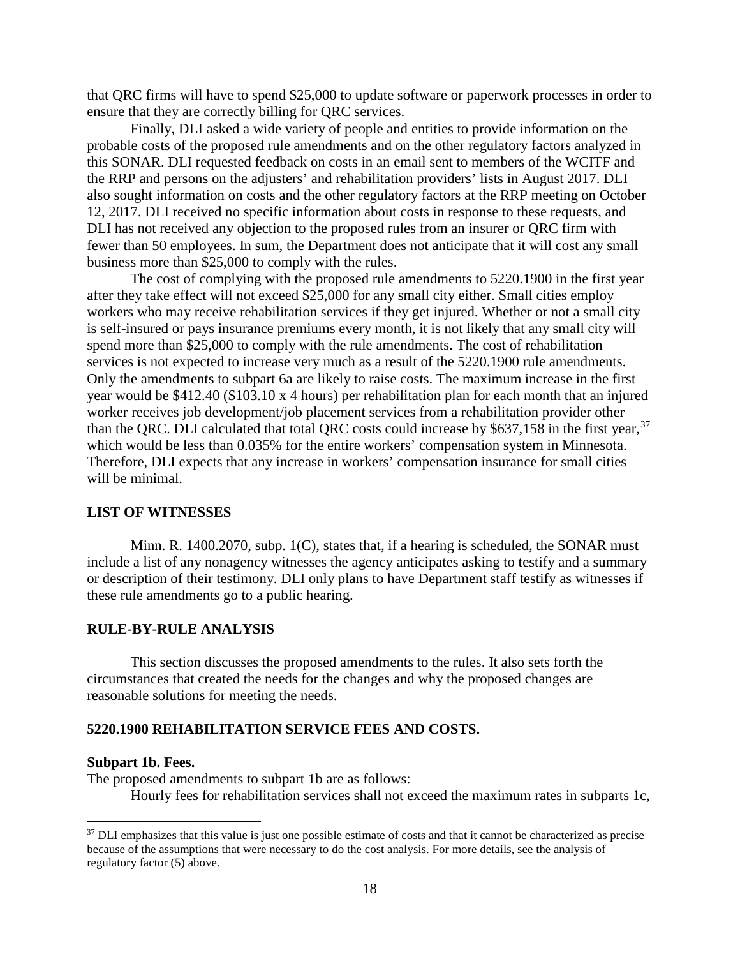that QRC firms will have to spend \$25,000 to update software or paperwork processes in order to ensure that they are correctly billing for QRC services.

Finally, DLI asked a wide variety of people and entities to provide information on the probable costs of the proposed rule amendments and on the other regulatory factors analyzed in this SONAR. DLI requested feedback on costs in an email sent to members of the WCITF and the RRP and persons on the adjusters' and rehabilitation providers' lists in August 2017. DLI also sought information on costs and the other regulatory factors at the RRP meeting on October 12, 2017. DLI received no specific information about costs in response to these requests, and DLI has not received any objection to the proposed rules from an insurer or QRC firm with fewer than 50 employees. In sum, the Department does not anticipate that it will cost any small business more than \$25,000 to comply with the rules.

The cost of complying with the proposed rule amendments to 5220.1900 in the first year after they take effect will not exceed \$25,000 for any small city either. Small cities employ workers who may receive rehabilitation services if they get injured. Whether or not a small city is self-insured or pays insurance premiums every month, it is not likely that any small city will spend more than \$25,000 to comply with the rule amendments. The cost of rehabilitation services is not expected to increase very much as a result of the 5220.1900 rule amendments. Only the amendments to subpart 6a are likely to raise costs. The maximum increase in the first year would be \$412.40 (\$103.10 x 4 hours) per rehabilitation plan for each month that an injured worker receives job development/job placement services from a rehabilitation provider other than the QRC. DLI calculated that total QRC costs could increase by \$6[37](#page-17-0),158 in the first year,<sup>37</sup> which would be less than  $0.035\%$  for the entire workers' compensation system in Minnesota. Therefore, DLI expects that any increase in workers' compensation insurance for small cities will be minimal.

## **LIST OF WITNESSES**

Minn. R. 1400.2070, subp. 1(C), states that, if a hearing is scheduled, the SONAR must include a list of any nonagency witnesses the agency anticipates asking to testify and a summary or description of their testimony. DLI only plans to have Department staff testify as witnesses if these rule amendments go to a public hearing.

#### **RULE-BY-RULE ANALYSIS**

This section discusses the proposed amendments to the rules. It also sets forth the circumstances that created the needs for the changes and why the proposed changes are reasonable solutions for meeting the needs.

#### **5220.1900 REHABILITATION SERVICE FEES AND COSTS.**

#### **Subpart 1b. Fees.**

The proposed amendments to subpart 1b are as follows: Hourly fees for rehabilitation services shall not exceed the maximum rates in subparts 1c,

<span id="page-17-0"></span><sup>&</sup>lt;sup>37</sup> DLI emphasizes that this value is just one possible estimate of costs and that it cannot be characterized as precise because of the assumptions that were necessary to do the cost analysis. For more details, see the analysis of regulatory factor (5) above.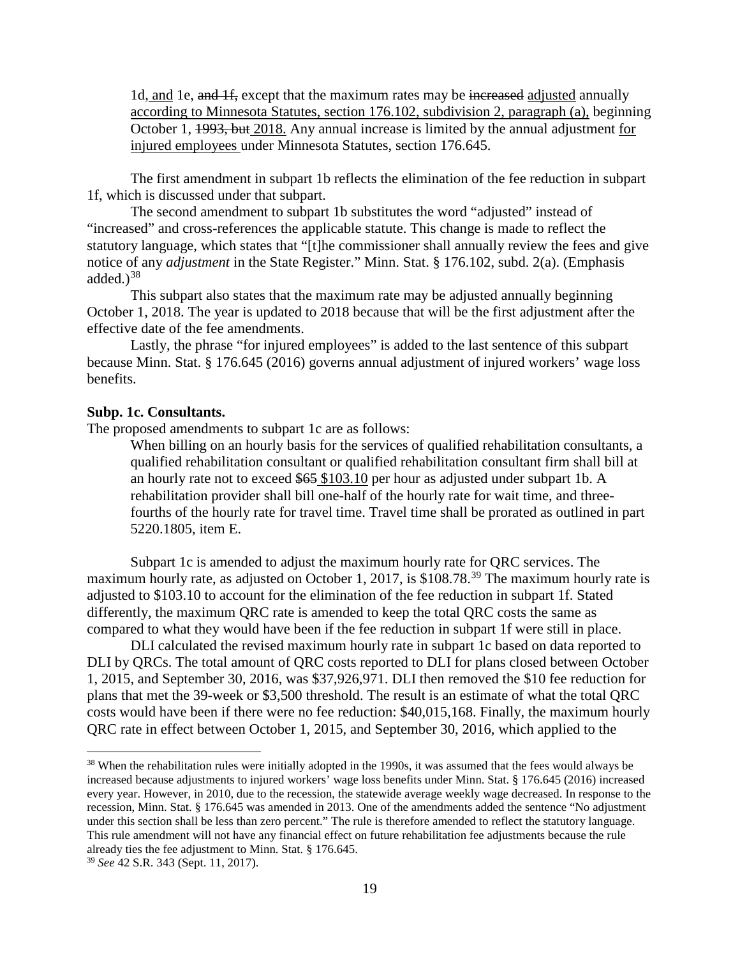1d, and 1e, and 1f, except that the maximum rates may be increased adjusted annually according to Minnesota Statutes, section 176.102, subdivision 2, paragraph (a), beginning October 1, 1993, but 2018. Any annual increase is limited by the annual adjustment for injured employees under Minnesota Statutes, section [176.645.](https://www.revisor.mn.gov/statutes/?id=176.645)

The first amendment in subpart 1b reflects the elimination of the fee reduction in subpart 1f, which is discussed under that subpart.

The second amendment to subpart 1b substitutes the word "adjusted" instead of "increased" and cross-references the applicable statute. This change is made to reflect the statutory language, which states that "[t]he commissioner shall annually review the fees and give notice of any *adjustment* in the State Register." Minn. Stat. § 176.102, subd. 2(a). (Emphasis added. $)^{38}$  $)^{38}$  $)^{38}$ 

This subpart also states that the maximum rate may be adjusted annually beginning October 1, 2018. The year is updated to 2018 because that will be the first adjustment after the effective date of the fee amendments.

Lastly, the phrase "for injured employees" is added to the last sentence of this subpart because Minn. Stat. § 176.645 (2016) governs annual adjustment of injured workers' wage loss benefits.

#### **Subp. 1c. Consultants.**

The proposed amendments to subpart 1c are as follows:

When billing on an hourly basis for the services of qualified rehabilitation consultants, a qualified rehabilitation consultant or qualified rehabilitation consultant firm shall bill at an hourly rate not to exceed \$65 \$103.10 per hour as adjusted under subpart 1b. A rehabilitation provider shall bill one-half of the hourly rate for wait time, and threefourths of the hourly rate for travel time. Travel time shall be prorated as outlined in part [5220.1805,](https://www.revisor.mn.gov/rules/?id=5220.1805) item E.

Subpart 1c is amended to adjust the maximum hourly rate for QRC services. The maximum hourly rate, as adjusted on October 1, 2017, is \$108.78.<sup>[39](#page-18-1)</sup> The maximum hourly rate is adjusted to \$103.10 to account for the elimination of the fee reduction in subpart 1f. Stated differently, the maximum QRC rate is amended to keep the total QRC costs the same as compared to what they would have been if the fee reduction in subpart 1f were still in place.

DLI calculated the revised maximum hourly rate in subpart 1c based on data reported to DLI by QRCs. The total amount of QRC costs reported to DLI for plans closed between October 1, 2015, and September 30, 2016, was \$37,926,971. DLI then removed the \$10 fee reduction for plans that met the 39-week or \$3,500 threshold. The result is an estimate of what the total QRC costs would have been if there were no fee reduction: \$40,015,168. Finally, the maximum hourly QRC rate in effect between October 1, 2015, and September 30, 2016, which applied to the

<span id="page-18-0"></span><sup>&</sup>lt;sup>38</sup> When the rehabilitation rules were initially adopted in the 1990s, it was assumed that the fees would always be increased because adjustments to injured workers' wage loss benefits under Minn. Stat. § 176.645 (2016) increased every year. However, in 2010, due to the recession, the statewide average weekly wage decreased. In response to the recession, Minn. Stat. § 176.645 was amended in 2013. One of the amendments added the sentence "No adjustment under this section shall be less than zero percent." The rule is therefore amended to reflect the statutory language. This rule amendment will not have any financial effect on future rehabilitation fee adjustments because the rule already ties the fee adjustment to Minn. Stat. § 176.645.

<span id="page-18-1"></span><sup>39</sup> *See* 42 S.R. 343 (Sept. 11, 2017).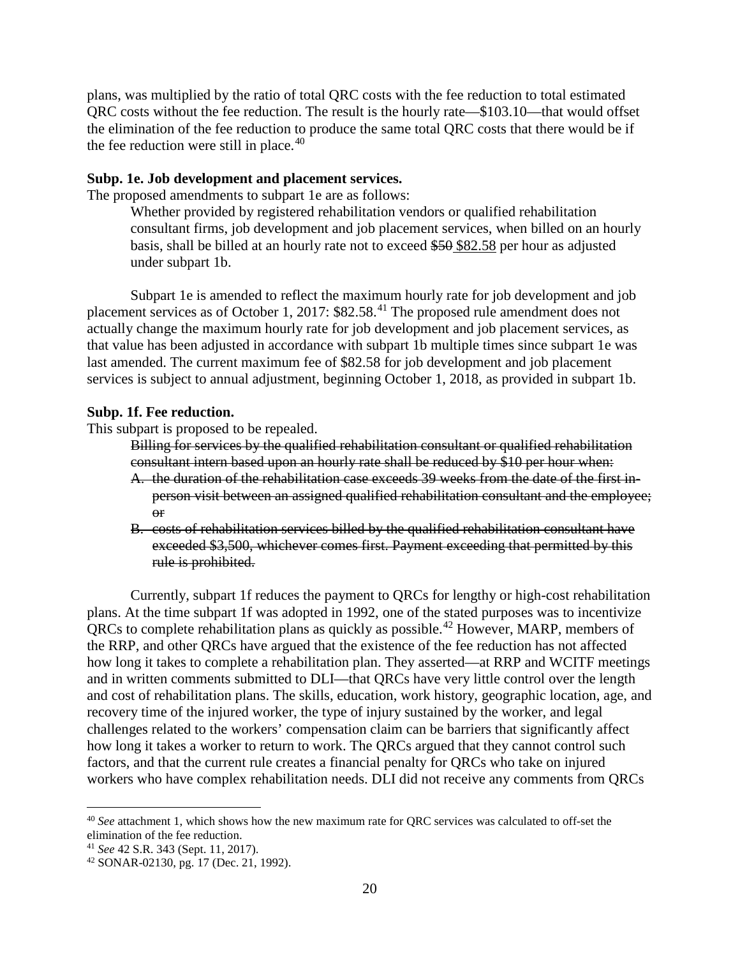plans, was multiplied by the ratio of total QRC costs with the fee reduction to total estimated QRC costs without the fee reduction. The result is the hourly rate—\$103.10—that would offset the elimination of the fee reduction to produce the same total QRC costs that there would be if the fee reduction were still in place.<sup>[40](#page-19-0)</sup>

#### **Subp. 1e. Job development and placement services.**

The proposed amendments to subpart 1e are as follows:

Whether provided by registered rehabilitation vendors or qualified rehabilitation consultant firms, job development and job placement services, when billed on an hourly basis, shall be billed at an hourly rate not to exceed \$50 \$82.58 per hour as adjusted under subpart 1b.

Subpart 1e is amended to reflect the maximum hourly rate for job development and job placement services as of October 1, 2017: \$82.58.<sup>[41](#page-19-1)</sup> The proposed rule amendment does not actually change the maximum hourly rate for job development and job placement services, as that value has been adjusted in accordance with subpart 1b multiple times since subpart 1e was last amended. The current maximum fee of \$82.58 for job development and job placement services is subject to annual adjustment, beginning October 1, 2018, as provided in subpart 1b.

#### **Subp. 1f. Fee reduction.**

This subpart is proposed to be repealed.

Billing for services by the qualified rehabilitation consultant or qualified rehabilitation consultant intern based upon an hourly rate shall be reduced by \$10 per hour when:

- A. the duration of the rehabilitation case exceeds 39 weeks from the date of the first inperson visit between an assigned qualified rehabilitation consultant and the employee;  $\Theta$ r
- B. costs of rehabilitation services billed by the qualified rehabilitation consultant have exceeded \$3,500, whichever comes first. Payment exceeding that permitted by this rule is prohibited.

Currently, subpart 1f reduces the payment to QRCs for lengthy or high-cost rehabilitation plans. At the time subpart 1f was adopted in 1992, one of the stated purposes was to incentivize QRCs to complete rehabilitation plans as quickly as possible.[42](#page-19-2) However, MARP, members of the RRP, and other QRCs have argued that the existence of the fee reduction has not affected how long it takes to complete a rehabilitation plan. They asserted—at RRP and WCITF meetings and in written comments submitted to DLI—that QRCs have very little control over the length and cost of rehabilitation plans. The skills, education, work history, geographic location, age, and recovery time of the injured worker, the type of injury sustained by the worker, and legal challenges related to the workers' compensation claim can be barriers that significantly affect how long it takes a worker to return to work. The QRCs argued that they cannot control such factors, and that the current rule creates a financial penalty for QRCs who take on injured workers who have complex rehabilitation needs. DLI did not receive any comments from QRCs

<span id="page-19-0"></span> <sup>40</sup> *See* attachment 1, which shows how the new maximum rate for QRC services was calculated to off-set the elimination of the fee reduction.

<span id="page-19-1"></span><sup>41</sup> *See* 42 S.R. 343 (Sept. 11, 2017).

<span id="page-19-2"></span><sup>42</sup> SONAR-02130, pg. 17 (Dec. 21, 1992).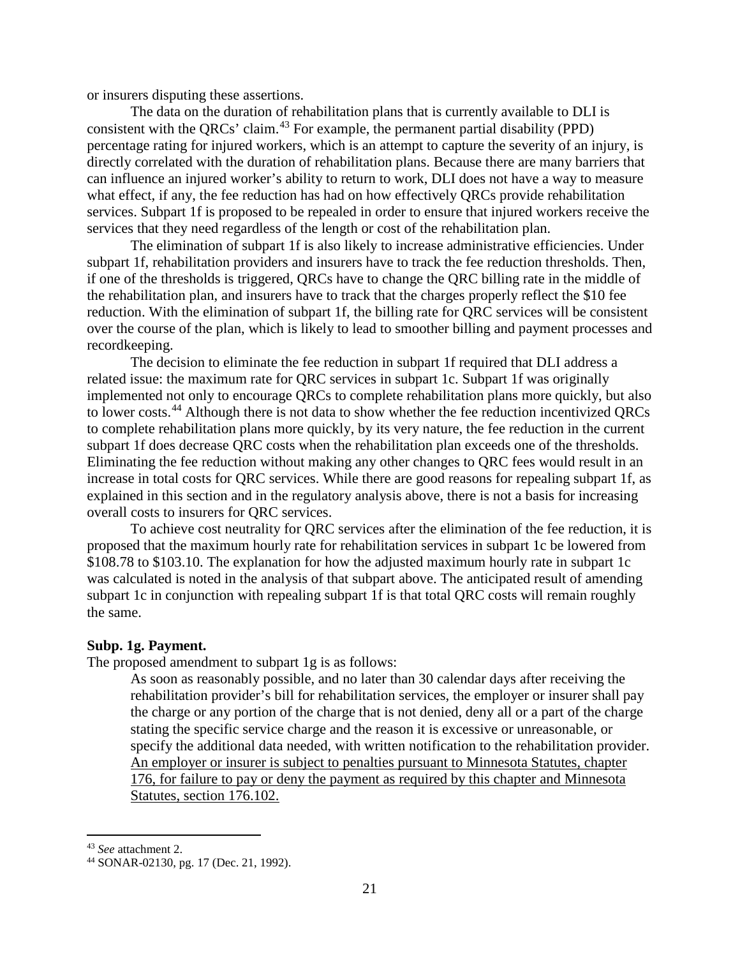or insurers disputing these assertions.

The data on the duration of rehabilitation plans that is currently available to DLI is consistent with the QRCs' claim.[43](#page-20-0) For example, the permanent partial disability (PPD) percentage rating for injured workers, which is an attempt to capture the severity of an injury, is directly correlated with the duration of rehabilitation plans. Because there are many barriers that can influence an injured worker's ability to return to work, DLI does not have a way to measure what effect, if any, the fee reduction has had on how effectively QRCs provide rehabilitation services. Subpart 1f is proposed to be repealed in order to ensure that injured workers receive the services that they need regardless of the length or cost of the rehabilitation plan.

The elimination of subpart 1f is also likely to increase administrative efficiencies. Under subpart 1f, rehabilitation providers and insurers have to track the fee reduction thresholds. Then, if one of the thresholds is triggered, QRCs have to change the QRC billing rate in the middle of the rehabilitation plan, and insurers have to track that the charges properly reflect the \$10 fee reduction. With the elimination of subpart 1f, the billing rate for QRC services will be consistent over the course of the plan, which is likely to lead to smoother billing and payment processes and recordkeeping.

The decision to eliminate the fee reduction in subpart 1f required that DLI address a related issue: the maximum rate for QRC services in subpart 1c. Subpart 1f was originally implemented not only to encourage QRCs to complete rehabilitation plans more quickly, but also to lower costs.<sup>[44](#page-20-1)</sup> Although there is not data to show whether the fee reduction incentivized QRCs to complete rehabilitation plans more quickly, by its very nature, the fee reduction in the current subpart 1f does decrease QRC costs when the rehabilitation plan exceeds one of the thresholds. Eliminating the fee reduction without making any other changes to QRC fees would result in an increase in total costs for QRC services. While there are good reasons for repealing subpart 1f, as explained in this section and in the regulatory analysis above, there is not a basis for increasing overall costs to insurers for QRC services.

To achieve cost neutrality for QRC services after the elimination of the fee reduction, it is proposed that the maximum hourly rate for rehabilitation services in subpart 1c be lowered from \$108.78 to \$103.10. The explanation for how the adjusted maximum hourly rate in subpart 1c was calculated is noted in the analysis of that subpart above. The anticipated result of amending subpart 1c in conjunction with repealing subpart 1f is that total QRC costs will remain roughly the same.

#### **Subp. 1g. Payment.**

The proposed amendment to subpart 1g is as follows:

As soon as reasonably possible, and no later than 30 calendar days after receiving the rehabilitation provider's bill for rehabilitation services, the employer or insurer shall pay the charge or any portion of the charge that is not denied, deny all or a part of the charge stating the specific service charge and the reason it is excessive or unreasonable, or specify the additional data needed, with written notification to the rehabilitation provider. An employer or insurer is subject to penalties pursuant to Minnesota Statutes, chapter 176, for failure to pay or deny the payment as required by this chapter and Minnesota Statutes, section 176.102.

<span id="page-20-0"></span> <sup>43</sup> *See* attachment 2.

<span id="page-20-1"></span><sup>44</sup> SONAR-02130, pg. 17 (Dec. 21, 1992).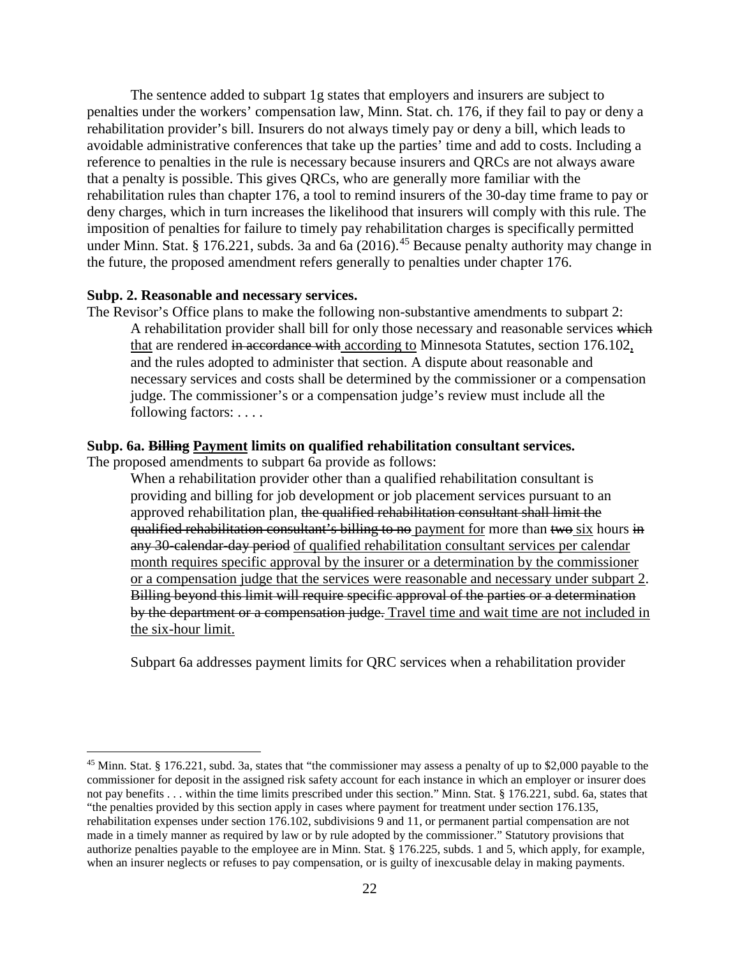The sentence added to subpart 1g states that employers and insurers are subject to penalties under the workers' compensation law, Minn. Stat. ch. 176, if they fail to pay or deny a rehabilitation provider's bill. Insurers do not always timely pay or deny a bill, which leads to avoidable administrative conferences that take up the parties' time and add to costs. Including a reference to penalties in the rule is necessary because insurers and QRCs are not always aware that a penalty is possible. This gives QRCs, who are generally more familiar with the rehabilitation rules than chapter 176, a tool to remind insurers of the 30-day time frame to pay or deny charges, which in turn increases the likelihood that insurers will comply with this rule. The imposition of penalties for failure to timely pay rehabilitation charges is specifically permitted under Minn. Stat. § 176.221, subds. 3a and 6a (2016).<sup>[45](#page-21-0)</sup> Because penalty authority may change in the future, the proposed amendment refers generally to penalties under chapter 176.

#### **Subp. 2. Reasonable and necessary services.**

The Revisor's Office plans to make the following non-substantive amendments to subpart 2: A rehabilitation provider shall bill for only those necessary and reasonable services which that are rendered in accordance with according to Minnesota Statutes, section 176.102, and the rules adopted to administer that section. A dispute about reasonable and necessary services and costs shall be determined by the commissioner or a compensation judge. The commissioner's or a compensation judge's review must include all the following factors: . . . .

## **Subp. 6a. Billing Payment limits on qualified rehabilitation consultant services.**

The proposed amendments to subpart 6a provide as follows:

When a rehabilitation provider other than a qualified rehabilitation consultant is providing and billing for job development or job placement services pursuant to an approved rehabilitation plan, the qualified rehabilitation consultant shall limit the qualified rehabilitation consultant's billing to no payment for more than two six hours in any 30-calendar-day period of qualified rehabilitation consultant services per calendar month requires specific approval by the insurer or a determination by the commissioner or a compensation judge that the services were reasonable and necessary under subpart 2. Billing beyond this limit will require specific approval of the parties or a determination by the department or a compensation judge. Travel time and wait time are not included in the six-hour limit.

Subpart 6a addresses payment limits for QRC services when a rehabilitation provider

<span id="page-21-0"></span><sup>&</sup>lt;sup>45</sup> Minn. Stat. § 176.221, subd. 3a, states that "the commissioner may assess a penalty of up to \$2,000 payable to the commissioner for deposit in the assigned risk safety account for each instance in which an employer or insurer does not pay benefits . . . within the time limits prescribed under this section." Minn. Stat. § 176.221, subd. 6a, states that "the penalties provided by this section apply in cases where payment for treatment under section 176.135, rehabilitation expenses under section 176.102, subdivisions 9 and 11, or permanent partial compensation are not made in a timely manner as required by law or by rule adopted by the commissioner." Statutory provisions that authorize penalties payable to the employee are in Minn. Stat. § 176.225, subds. 1 and 5, which apply, for example, when an insurer neglects or refuses to pay compensation, or is guilty of inexcusable delay in making payments.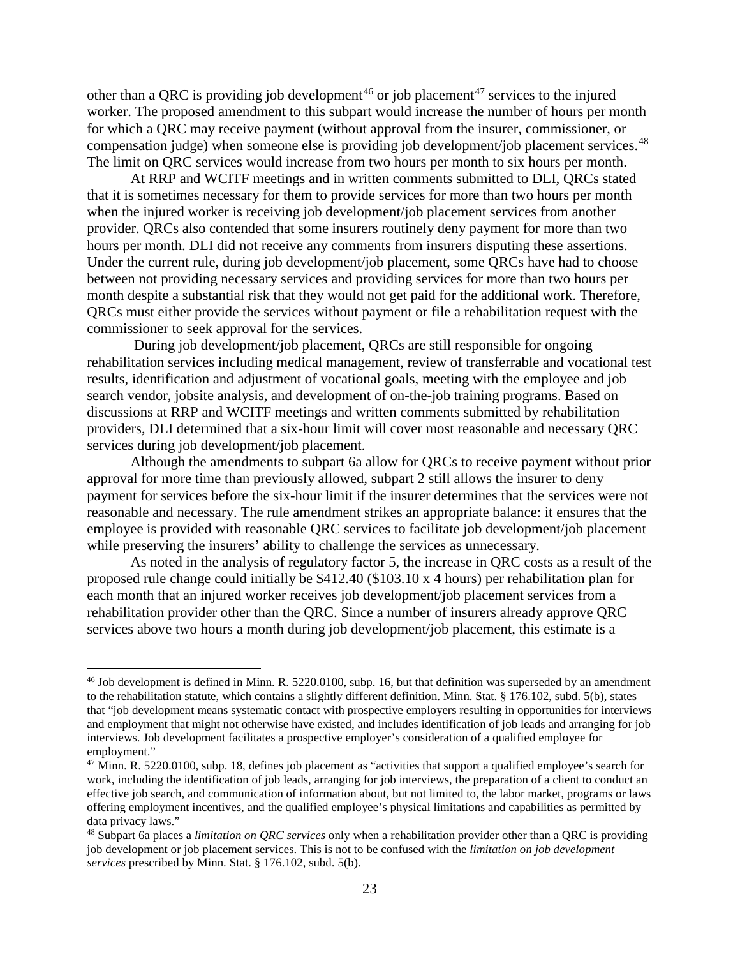other than a ORC is providing job development<sup>[46](#page-22-0)</sup> or job placement<sup>[47](#page-22-1)</sup> services to the injured worker. The proposed amendment to this subpart would increase the number of hours per month for which a QRC may receive payment (without approval from the insurer, commissioner, or compensation judge) when someone else is providing job development/job placement services.<sup>[48](#page-22-2)</sup> The limit on QRC services would increase from two hours per month to six hours per month.

At RRP and WCITF meetings and in written comments submitted to DLI, QRCs stated that it is sometimes necessary for them to provide services for more than two hours per month when the injured worker is receiving job development/job placement services from another provider. QRCs also contended that some insurers routinely deny payment for more than two hours per month. DLI did not receive any comments from insurers disputing these assertions. Under the current rule, during job development/job placement, some QRCs have had to choose between not providing necessary services and providing services for more than two hours per month despite a substantial risk that they would not get paid for the additional work. Therefore, QRCs must either provide the services without payment or file a rehabilitation request with the commissioner to seek approval for the services.

During job development/job placement, QRCs are still responsible for ongoing rehabilitation services including medical management, review of transferrable and vocational test results, identification and adjustment of vocational goals, meeting with the employee and job search vendor, jobsite analysis, and development of on-the-job training programs. Based on discussions at RRP and WCITF meetings and written comments submitted by rehabilitation providers, DLI determined that a six-hour limit will cover most reasonable and necessary QRC services during job development/job placement.

Although the amendments to subpart 6a allow for QRCs to receive payment without prior approval for more time than previously allowed, subpart 2 still allows the insurer to deny payment for services before the six-hour limit if the insurer determines that the services were not reasonable and necessary. The rule amendment strikes an appropriate balance: it ensures that the employee is provided with reasonable QRC services to facilitate job development/job placement while preserving the insurers' ability to challenge the services as unnecessary.

As noted in the analysis of regulatory factor 5, the increase in QRC costs as a result of the proposed rule change could initially be \$412.40 (\$103.10 x 4 hours) per rehabilitation plan for each month that an injured worker receives job development/job placement services from a rehabilitation provider other than the QRC. Since a number of insurers already approve QRC services above two hours a month during job development/job placement, this estimate is a

<span id="page-22-0"></span> $46$  Job development is defined in Minn. R. 5220.0100, subp. 16, but that definition was superseded by an amendment to the rehabilitation statute, which contains a slightly different definition. Minn. Stat. § 176.102, subd. 5(b), states that "job development means systematic contact with prospective employers resulting in opportunities for interviews and employment that might not otherwise have existed, and includes identification of job leads and arranging for job interviews. Job development facilitates a prospective employer's consideration of a qualified employee for employment."<br><sup>47</sup> Minn. R. 5220.0100, subp. 18, defines job placement as "activities that support a qualified employee's search for

<span id="page-22-1"></span>work, including the identification of job leads, arranging for job interviews, the preparation of a client to conduct an effective job search, and communication of information about, but not limited to, the labor market, programs or laws offering employment incentives, and the qualified employee's physical limitations and capabilities as permitted by data privacy laws."

<span id="page-22-2"></span><sup>48</sup> Subpart 6a places a *limitation on QRC services* only when a rehabilitation provider other than a QRC is providing job development or job placement services. This is not to be confused with the *limitation on job development services* prescribed by Minn. Stat. § 176.102, subd. 5(b).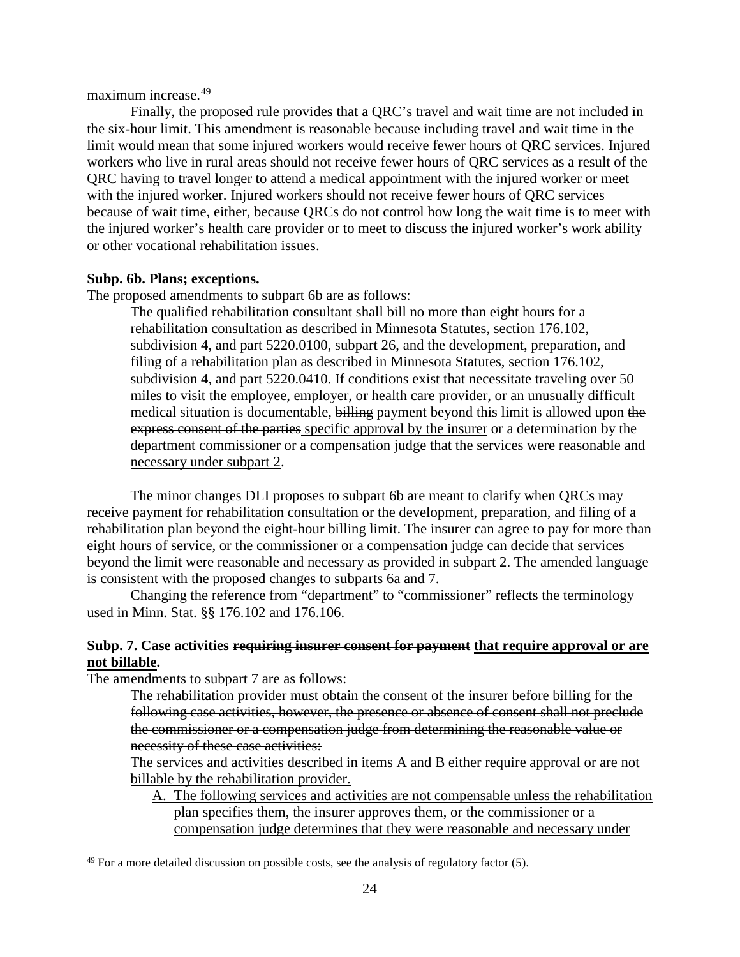maximum increase.[49](#page-23-0)

Finally, the proposed rule provides that a QRC's travel and wait time are not included in the six-hour limit. This amendment is reasonable because including travel and wait time in the limit would mean that some injured workers would receive fewer hours of QRC services. Injured workers who live in rural areas should not receive fewer hours of QRC services as a result of the QRC having to travel longer to attend a medical appointment with the injured worker or meet with the injured worker. Injured workers should not receive fewer hours of QRC services because of wait time, either, because QRCs do not control how long the wait time is to meet with the injured worker's health care provider or to meet to discuss the injured worker's work ability or other vocational rehabilitation issues.

## **Subp. 6b. Plans; exceptions.**

The proposed amendments to subpart 6b are as follows:

The qualified rehabilitation consultant shall bill no more than eight hours for a rehabilitation consultation as described in Minnesota Statutes, section [176.102,](https://www.revisor.mn.gov/statutes/?id=176.102) subdivision 4, and part [5220.0100,](https://www.revisor.mn.gov/rules/?id=5220.0100) subpart 26, and the development, preparation, and filing of a rehabilitation plan as described in Minnesota Statutes, section [176.102,](https://www.revisor.mn.gov/statutes/?id=176.102) subdivision 4, and part [5220.0410.](https://www.revisor.mn.gov/rules/?id=5220.0410) If conditions exist that necessitate traveling over 50 miles to visit the employee, employer, or health care provider, or an unusually difficult medical situation is documentable, billing payment beyond this limit is allowed upon the express consent of the parties specific approval by the insurer or a determination by the department commissioner or a compensation judge that the services were reasonable and necessary under subpart 2.

The minor changes DLI proposes to subpart 6b are meant to clarify when QRCs may receive payment for rehabilitation consultation or the development, preparation, and filing of a rehabilitation plan beyond the eight-hour billing limit. The insurer can agree to pay for more than eight hours of service, or the commissioner or a compensation judge can decide that services beyond the limit were reasonable and necessary as provided in subpart 2. The amended language is consistent with the proposed changes to subparts 6a and 7.

Changing the reference from "department" to "commissioner" reflects the terminology used in Minn. Stat. §§ 176.102 and 176.106.

## **Subp. 7. Case activities requiring insurer consent for payment that require approval or are not billable.**

The amendments to subpart 7 are as follows:

The rehabilitation provider must obtain the consent of the insurer before billing for the following case activities, however, the presence or absence of consent shall not preclude the commissioner or a compensation judge from determining the reasonable value or necessity of these case activities:

The services and activities described in items A and B either require approval or are not billable by the rehabilitation provider.

A. The following services and activities are not compensable unless the rehabilitation plan specifies them, the insurer approves them, or the commissioner or a compensation judge determines that they were reasonable and necessary under

<span id="page-23-0"></span> $49$  For a more detailed discussion on possible costs, see the analysis of regulatory factor (5).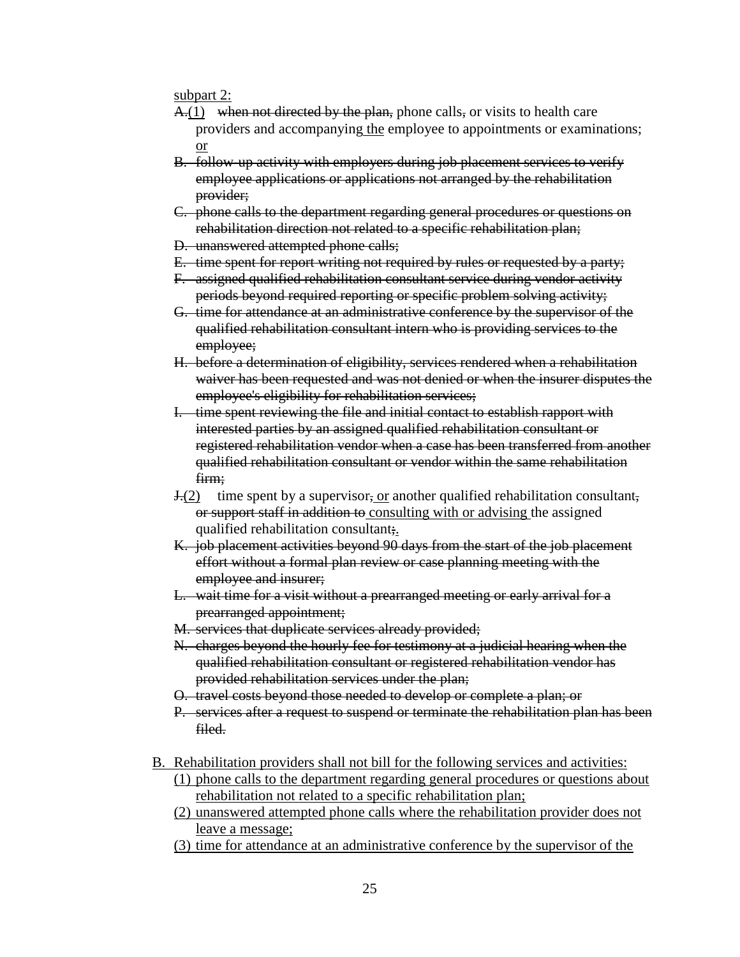subpart 2:

- $A(1)$  when not directed by the plan, phone calls, or visits to health care providers and accompanying the employee to appointments or examinations; or
- B. follow-up activity with employers during job placement services to verify employee applications or applications not arranged by the rehabilitation provider;
- C. phone calls to the department regarding general procedures or questions on rehabilitation direction not related to a specific rehabilitation plan;
- D. unanswered attempted phone calls;
- E. time spent for report writing not required by rules or requested by a party;
- F. assigned qualified rehabilitation consultant service during vendor activity periods beyond required reporting or specific problem solving activity;
- G. time for attendance at an administrative conference by the supervisor of the qualified rehabilitation consultant intern who is providing services to the employee;
- H. before a determination of eligibility, services rendered when a rehabilitation waiver has been requested and was not denied or when the insurer disputes the employee's eligibility for rehabilitation services;
- I. time spent reviewing the file and initial contact to establish rapport with interested parties by an assigned qualified rehabilitation consultant or registered rehabilitation vendor when a case has been transferred from another qualified rehabilitation consultant or vendor within the same rehabilitation firm;
- $\frac{J(2)}{l(2)}$  time spent by a supervisor, <u>or</u> another qualified rehabilitation consultant, or support staff in addition to consulting with or advising the assigned qualified rehabilitation consultant;.
- K. job placement activities beyond 90 days from the start of the job placement effort without a formal plan review or case planning meeting with the employee and insurer;
- L. wait time for a visit without a prearranged meeting or early arrival for a prearranged appointment;
- M. services that duplicate services already provided;
- N. charges beyond the hourly fee for testimony at a judicial hearing when the qualified rehabilitation consultant or registered rehabilitation vendor has provided rehabilitation services under the plan;
- O. travel costs beyond those needed to develop or complete a plan; or
- P. services after a request to suspend or terminate the rehabilitation plan has been filed.
- B. Rehabilitation providers shall not bill for the following services and activities:
	- (1) phone calls to the department regarding general procedures or questions about rehabilitation not related to a specific rehabilitation plan;
	- (2) unanswered attempted phone calls where the rehabilitation provider does not leave a message;
	- (3) time for attendance at an administrative conference by the supervisor of the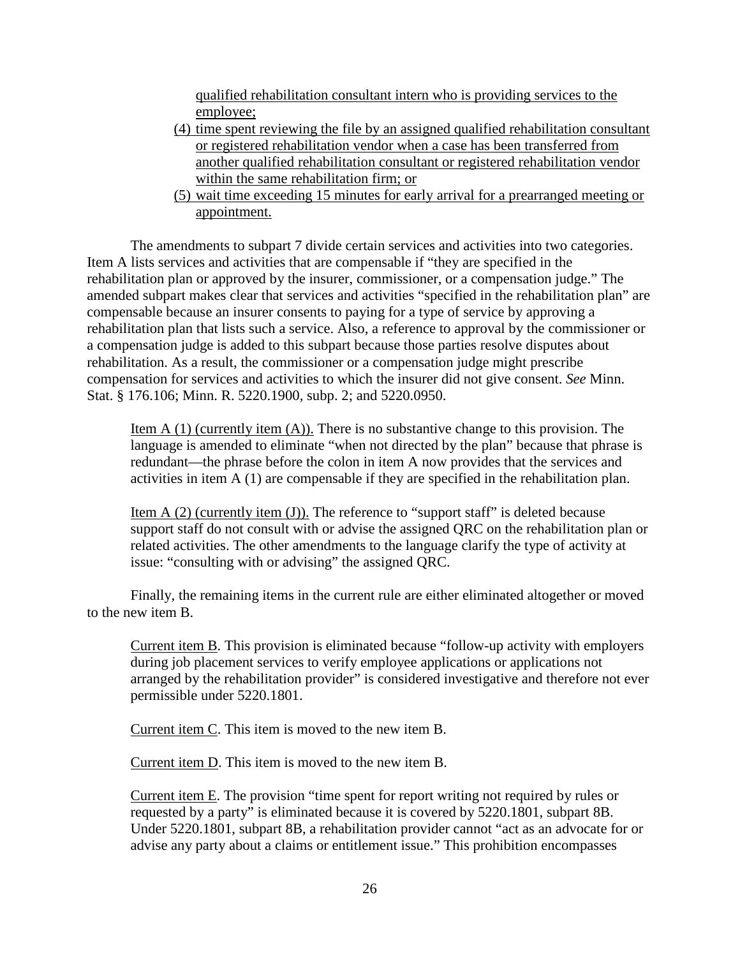qualified rehabilitation consultant intern who is providing services to the employee;

- (4) time spent reviewing the file by an assigned qualified rehabilitation consultant or registered rehabilitation vendor when a case has been transferred from another qualified rehabilitation consultant or registered rehabilitation vendor within the same rehabilitation firm; or
- (5) wait time exceeding 15 minutes for early arrival for a prearranged meeting or appointment.

The amendments to subpart 7 divide certain services and activities into two categories. Item A lists services and activities that are compensable if "they are specified in the rehabilitation plan or approved by the insurer, commissioner, or a compensation judge." The amended subpart makes clear that services and activities "specified in the rehabilitation plan" are compensable because an insurer consents to paying for a type of service by approving a rehabilitation plan that lists such a service. Also, a reference to approval by the commissioner or a compensation judge is added to this subpart because those parties resolve disputes about rehabilitation. As a result, the commissioner or a compensation judge might prescribe compensation for services and activities to which the insurer did not give consent. *See* Minn. Stat. § 176.106; Minn. R. 5220.1900, subp. 2; and 5220.0950.

Item  $A(1)$  (currently item  $(A)$ ). There is no substantive change to this provision. The language is amended to eliminate "when not directed by the plan" because that phrase is redundant—the phrase before the colon in item A now provides that the services and activities in item A (1) are compensable if they are specified in the rehabilitation plan.

Item  $A(2)$  (currently item  $(J)$ ). The reference to "support staff" is deleted because support staff do not consult with or advise the assigned QRC on the rehabilitation plan or related activities. The other amendments to the language clarify the type of activity at issue: "consulting with or advising" the assigned QRC.

Finally, the remaining items in the current rule are either eliminated altogether or moved to the new item B.

Current item B. This provision is eliminated because "follow-up activity with employers during job placement services to verify employee applications or applications not arranged by the rehabilitation provider" is considered investigative and therefore not ever permissible under 5220.1801.

Current item C. This item is moved to the new item B.

Current item D. This item is moved to the new item B.

Current item E. The provision "time spent for report writing not required by rules or requested by a party" is eliminated because it is covered by 5220.1801, subpart 8B. Under 5220.1801, subpart 8B, a rehabilitation provider cannot "act as an advocate for or advise any party about a claims or entitlement issue." This prohibition encompasses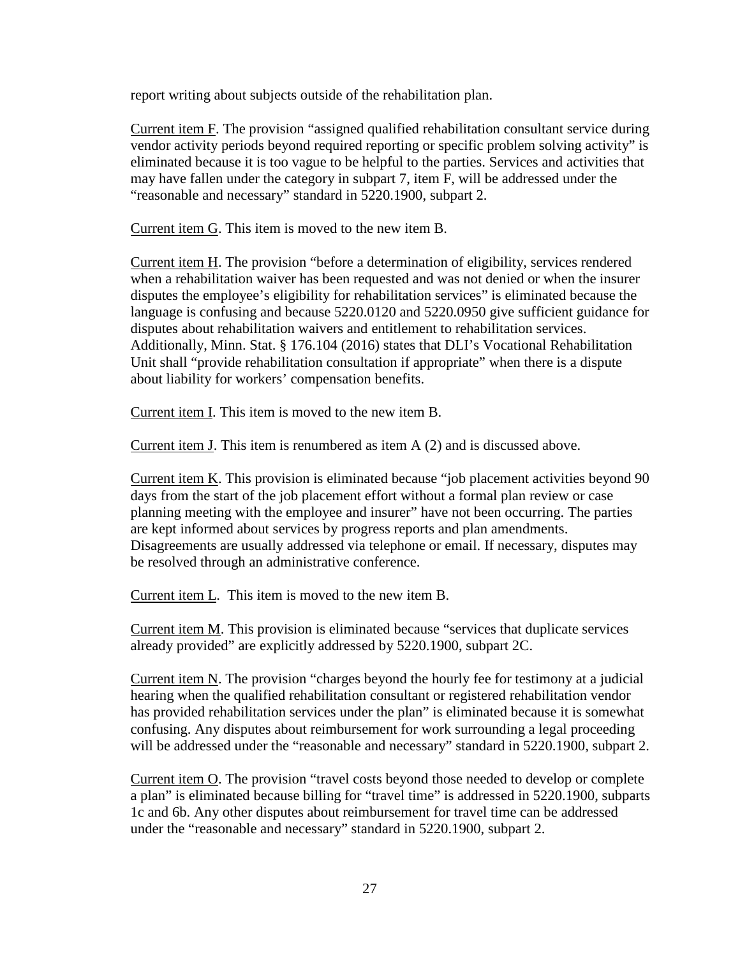report writing about subjects outside of the rehabilitation plan.

Current item F. The provision "assigned qualified rehabilitation consultant service during vendor activity periods beyond required reporting or specific problem solving activity" is eliminated because it is too vague to be helpful to the parties. Services and activities that may have fallen under the category in subpart 7, item F, will be addressed under the "reasonable and necessary" standard in 5220.1900, subpart 2.

Current item G. This item is moved to the new item B.

Current item H. The provision "before a determination of eligibility, services rendered when a rehabilitation waiver has been requested and was not denied or when the insurer disputes the employee's eligibility for rehabilitation services" is eliminated because the language is confusing and because 5220.0120 and 5220.0950 give sufficient guidance for disputes about rehabilitation waivers and entitlement to rehabilitation services. Additionally, Minn. Stat. § 176.104 (2016) states that DLI's Vocational Rehabilitation Unit shall "provide rehabilitation consultation if appropriate" when there is a dispute about liability for workers' compensation benefits.

Current item I. This item is moved to the new item B.

Current item J. This item is renumbered as item A (2) and is discussed above.

Current item K. This provision is eliminated because "job placement activities beyond 90 days from the start of the job placement effort without a formal plan review or case planning meeting with the employee and insurer" have not been occurring. The parties are kept informed about services by progress reports and plan amendments. Disagreements are usually addressed via telephone or email. If necessary, disputes may be resolved through an administrative conference.

Current item L. This item is moved to the new item B.

Current item M. This provision is eliminated because "services that duplicate services already provided" are explicitly addressed by 5220.1900, subpart 2C.

Current item N. The provision "charges beyond the hourly fee for testimony at a judicial hearing when the qualified rehabilitation consultant or registered rehabilitation vendor has provided rehabilitation services under the plan" is eliminated because it is somewhat confusing. Any disputes about reimbursement for work surrounding a legal proceeding will be addressed under the "reasonable and necessary" standard in 5220.1900, subpart 2.

Current item O. The provision "travel costs beyond those needed to develop or complete a plan" is eliminated because billing for "travel time" is addressed in 5220.1900, subparts 1c and 6b. Any other disputes about reimbursement for travel time can be addressed under the "reasonable and necessary" standard in 5220.1900, subpart 2.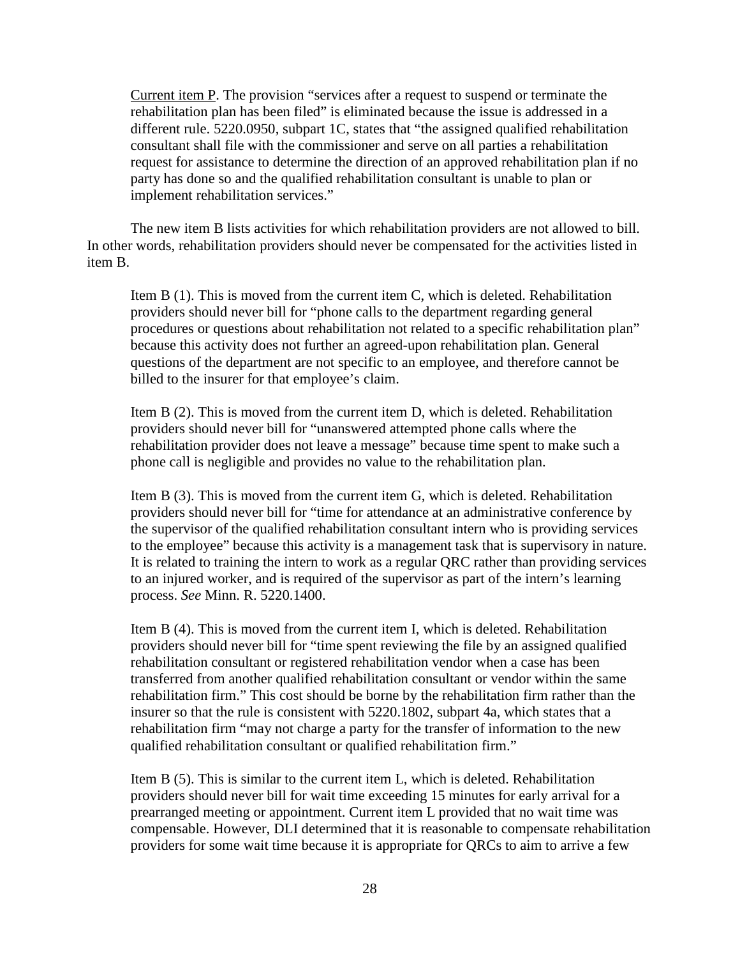Current item P. The provision "services after a request to suspend or terminate the rehabilitation plan has been filed" is eliminated because the issue is addressed in a different rule. 5220.0950, subpart 1C, states that "the assigned qualified rehabilitation consultant shall file with the commissioner and serve on all parties a rehabilitation request for assistance to determine the direction of an approved rehabilitation plan if no party has done so and the qualified rehabilitation consultant is unable to plan or implement rehabilitation services."

The new item B lists activities for which rehabilitation providers are not allowed to bill. In other words, rehabilitation providers should never be compensated for the activities listed in item B.

Item B (1). This is moved from the current item C, which is deleted. Rehabilitation providers should never bill for "phone calls to the department regarding general procedures or questions about rehabilitation not related to a specific rehabilitation plan" because this activity does not further an agreed-upon rehabilitation plan. General questions of the department are not specific to an employee, and therefore cannot be billed to the insurer for that employee's claim.

Item B (2). This is moved from the current item D, which is deleted. Rehabilitation providers should never bill for "unanswered attempted phone calls where the rehabilitation provider does not leave a message" because time spent to make such a phone call is negligible and provides no value to the rehabilitation plan.

Item B (3). This is moved from the current item G, which is deleted. Rehabilitation providers should never bill for "time for attendance at an administrative conference by the supervisor of the qualified rehabilitation consultant intern who is providing services to the employee" because this activity is a management task that is supervisory in nature. It is related to training the intern to work as a regular QRC rather than providing services to an injured worker, and is required of the supervisor as part of the intern's learning process. *See* Minn. R. 5220.1400.

Item B (4). This is moved from the current item I, which is deleted. Rehabilitation providers should never bill for "time spent reviewing the file by an assigned qualified rehabilitation consultant or registered rehabilitation vendor when a case has been transferred from another qualified rehabilitation consultant or vendor within the same rehabilitation firm." This cost should be borne by the rehabilitation firm rather than the insurer so that the rule is consistent with 5220.1802, subpart 4a, which states that a rehabilitation firm "may not charge a party for the transfer of information to the new qualified rehabilitation consultant or qualified rehabilitation firm."

Item B (5). This is similar to the current item L, which is deleted. Rehabilitation providers should never bill for wait time exceeding 15 minutes for early arrival for a prearranged meeting or appointment. Current item L provided that no wait time was compensable. However, DLI determined that it is reasonable to compensate rehabilitation providers for some wait time because it is appropriate for QRCs to aim to arrive a few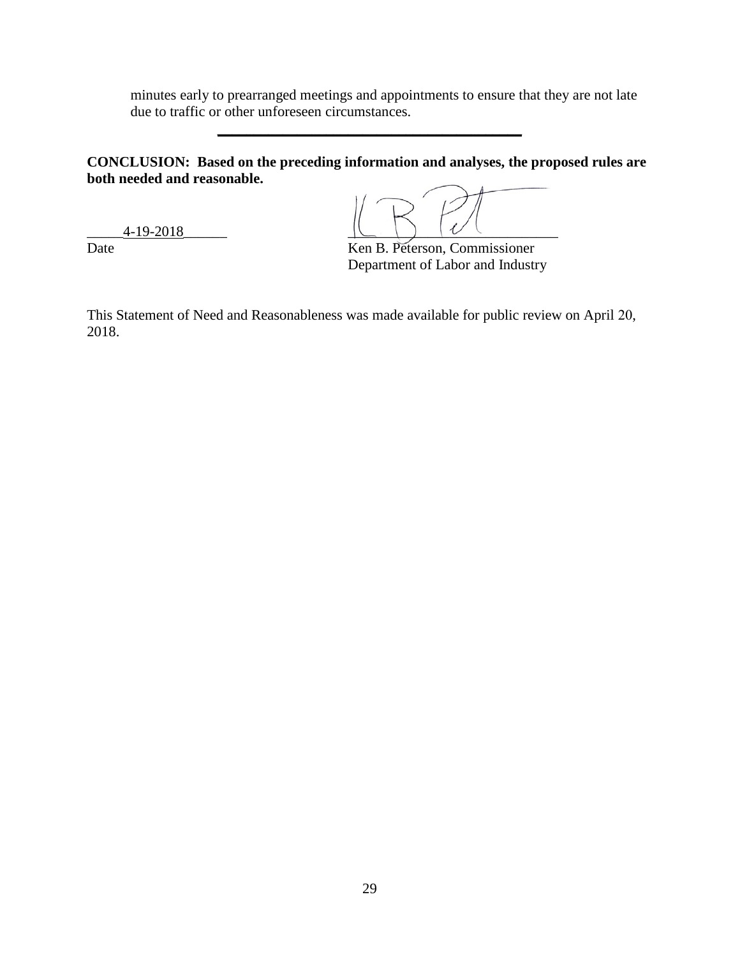minutes early to prearranged meetings and appointments to ensure that they are not late due to traffic or other unforeseen circumstances.

**CONCLUSION: Based on the preceding information and analyses, the proposed rules are both needed and reasonable.**

**\_\_\_\_\_\_\_\_\_\_\_\_\_\_\_\_\_\_\_\_\_\_\_\_\_\_\_\_\_\_\_\_\_\_\_\_\_\_\_\_\_\_** 

\_\_\_\_\_4-19-2018\_\_\_\_\_\_ \_\_\_\_\_\_\_\_\_\_\_\_\_\_\_\_\_\_\_\_\_\_\_\_\_\_\_\_\_

Date Ken B. Peterson, Commissioner

Department of Labor and Industry

This Statement of Need and Reasonableness was made available for public review on April 20, 2018.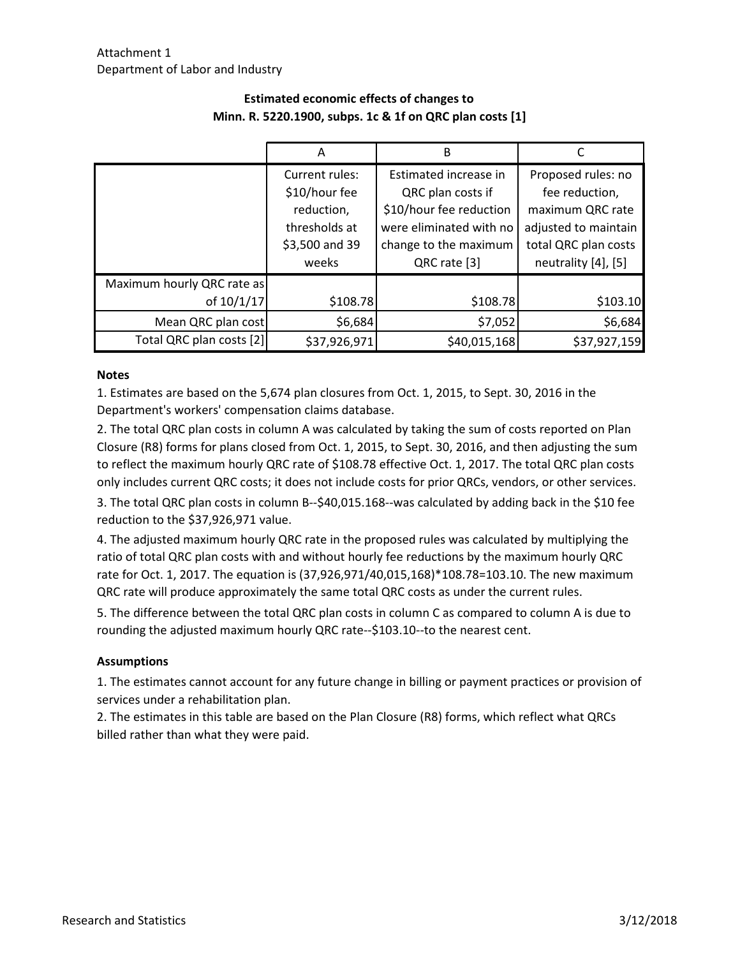|                            | А              | B                       |                      |
|----------------------------|----------------|-------------------------|----------------------|
|                            | Current rules: | Estimated increase in   | Proposed rules: no   |
|                            | \$10/hour fee  | QRC plan costs if       | fee reduction,       |
|                            | reduction,     | \$10/hour fee reduction | maximum QRC rate     |
|                            | thresholds at  | were eliminated with no | adjusted to maintain |
|                            | \$3,500 and 39 | change to the maximum   | total QRC plan costs |
|                            | weeks          | QRC rate [3]            | neutrality [4], [5]  |
| Maximum hourly QRC rate as |                |                         |                      |
| of 10/1/17                 | \$108.78       | \$108.78                | \$103.10             |
| Mean QRC plan cost         | \$6,684        | \$7,052                 | \$6,684              |
| Total QRC plan costs [2]   | \$37,926,971   | \$40,015,168            | \$37,927,159         |

# **Estimated economic effects of changes to Minn. R. 5220.1900, subps. 1c & 1f on QRC plan costs [1]**

#### **Notes**

1. Estimates are based on the 5,674 plan closures from Oct. 1, 2015, to Sept. 30, 2016 in the Department's workers' compensation claims database.

2. The total QRC plan costs in column A was calculated by taking the sum of costs reported on Plan Closure (R8) forms for plans closed from Oct. 1, 2015, to Sept. 30, 2016, and then adjusting the sum to reflect the maximum hourly QRC rate of \$108.78 effective Oct. 1, 2017. The total QRC plan costs only includes current QRC costs; it does not include costs for prior QRCs, vendors, or other services.

3. The total QRC plan costs in column B--\$40,015.168--was calculated by adding back in the \$10 fee reduction to the \$37,926,971 value.

4. The adjusted maximum hourly QRC rate in the proposed rules was calculated by multiplying the ratio of total QRC plan costs with and without hourly fee reductions by the maximum hourly QRC rate for Oct. 1, 2017. The equation is (37,926,971/40,015,168)\*108.78=103.10. The new maximum QRC rate will produce approximately the same total QRC costs as under the current rules.

5. The difference between the total QRC plan costs in column C as compared to column A is due to rounding the adjusted maximum hourly QRC rate--\$103.10--to the nearest cent.

#### **Assumptions**

1. The estimates cannot account for any future change in billing or payment practices or provision of services under a rehabilitation plan.

2. The estimates in this table are based on the Plan Closure (R8) forms, which reflect what QRCs billed rather than what they were paid.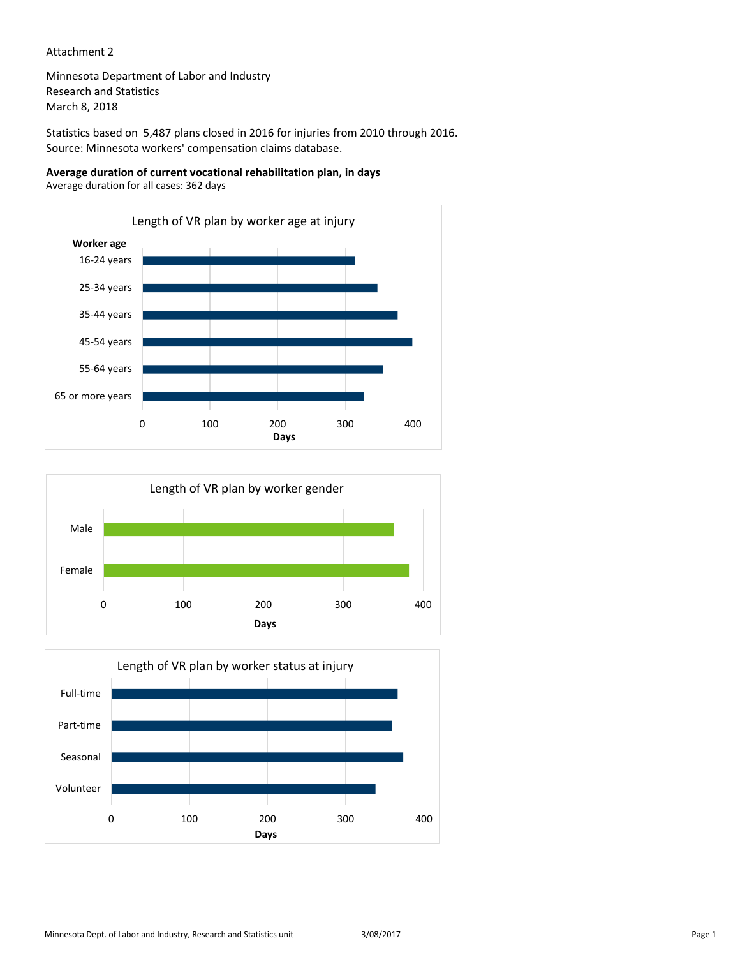#### Attachment 2

Minnesota Department of Labor and Industry Research and Statistics March 8, 2018

Statistics based on 5,487 plans closed in 2016 for injuries from 2010 through 2016. Source: Minnesota workers' compensation claims database.

**Average duration of current vocational rehabilitation plan, in days** Average duration for all cases: 362 days





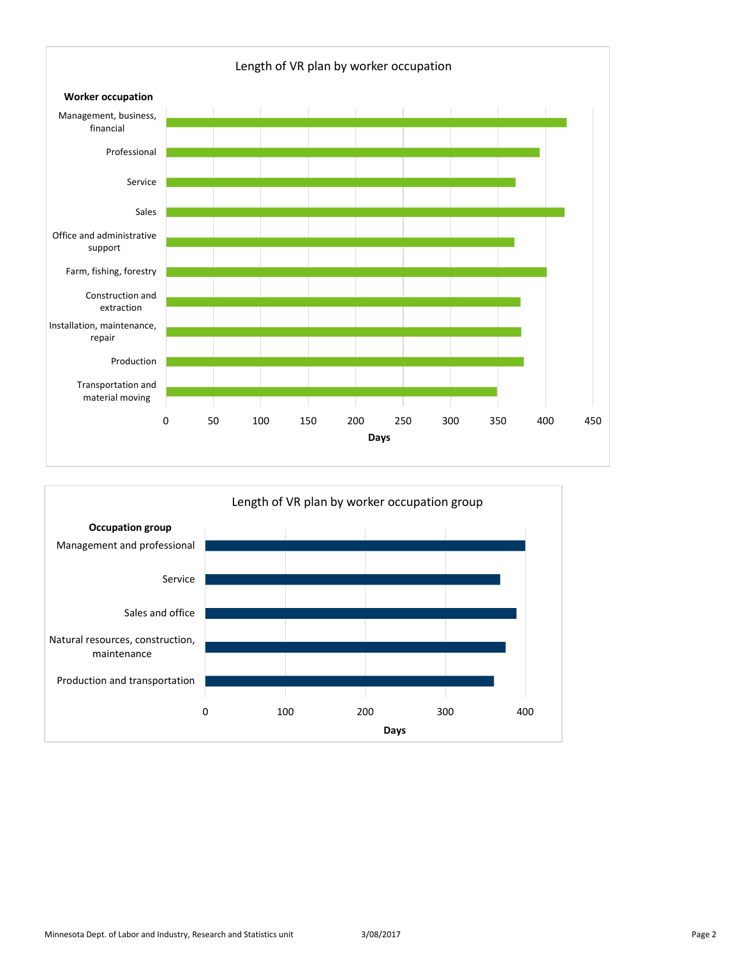

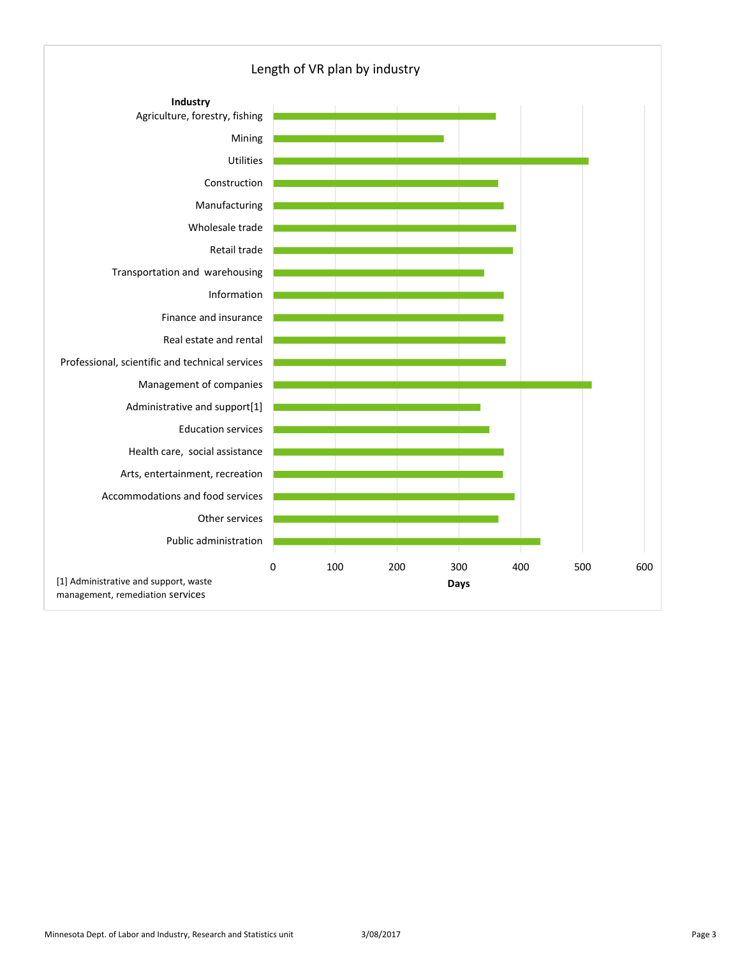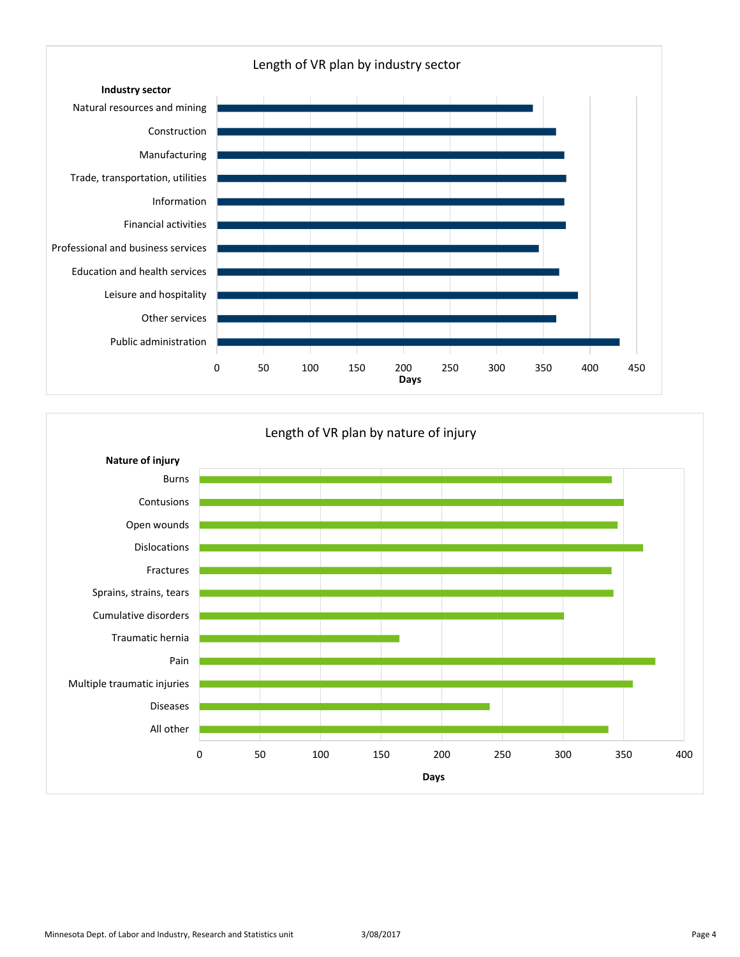

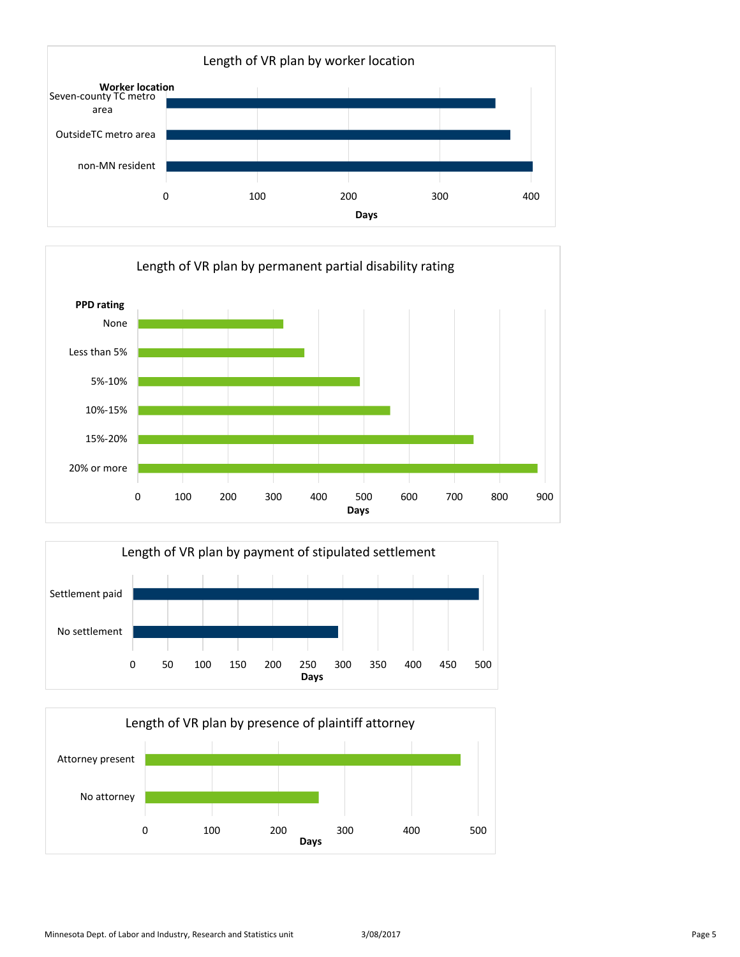





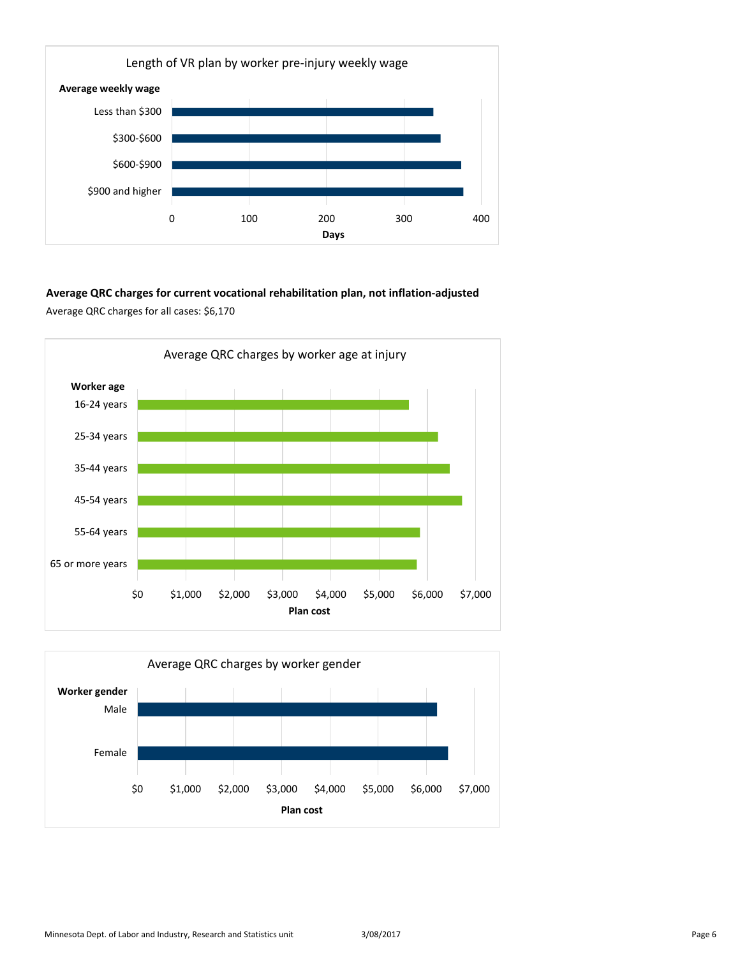

### **Average QRC charges for current vocational rehabilitation plan, not inflation-adjusted** Average QRC charges for all cases: \$6,170



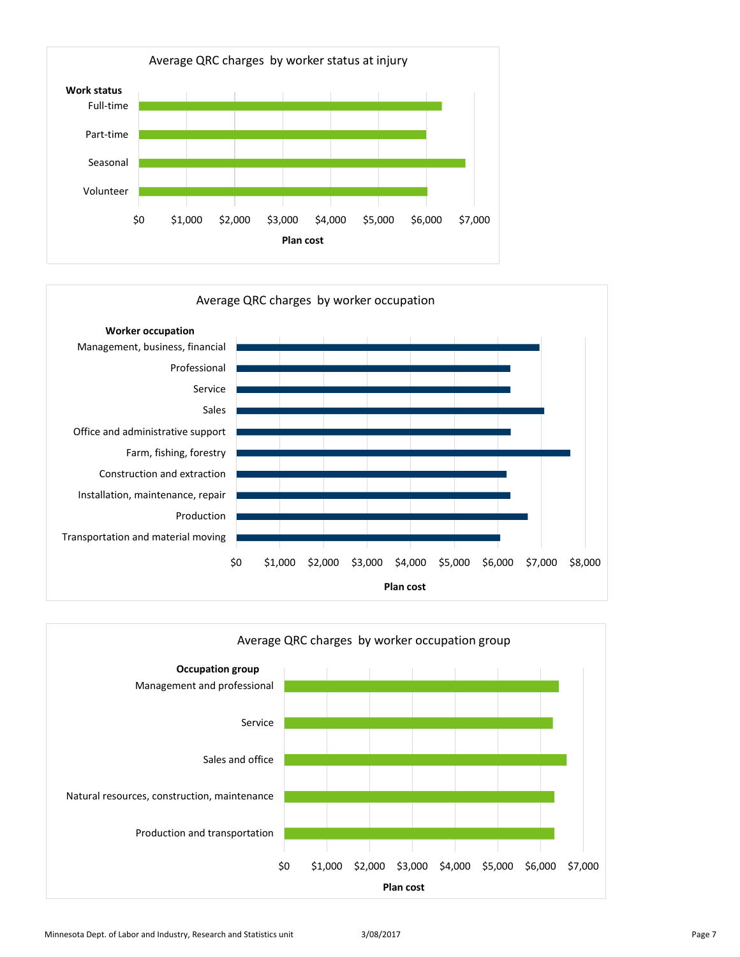



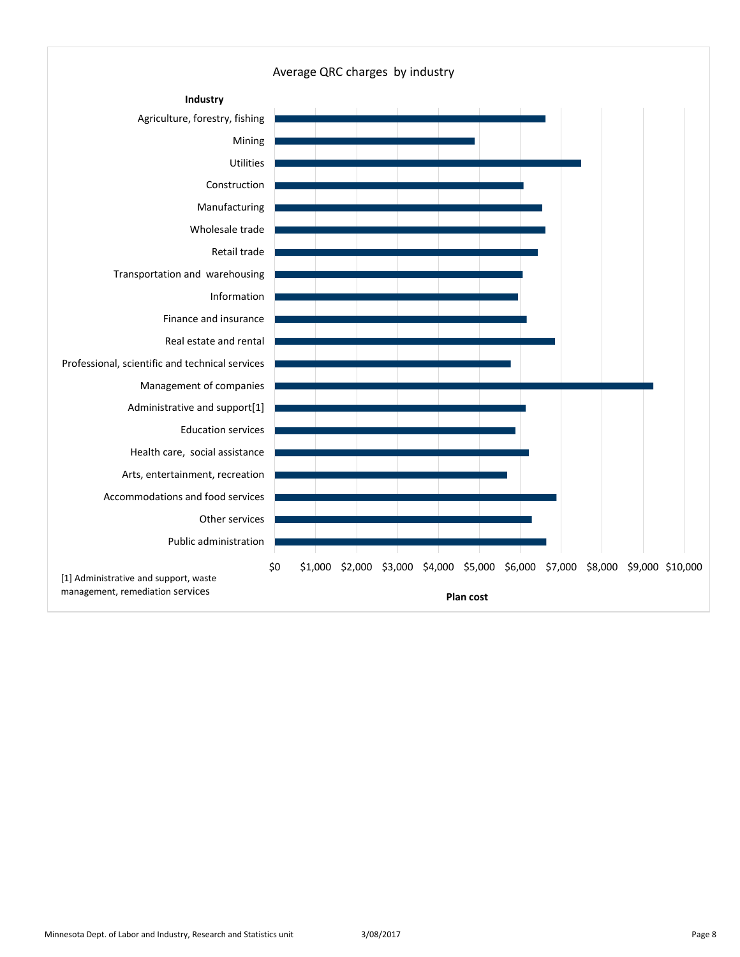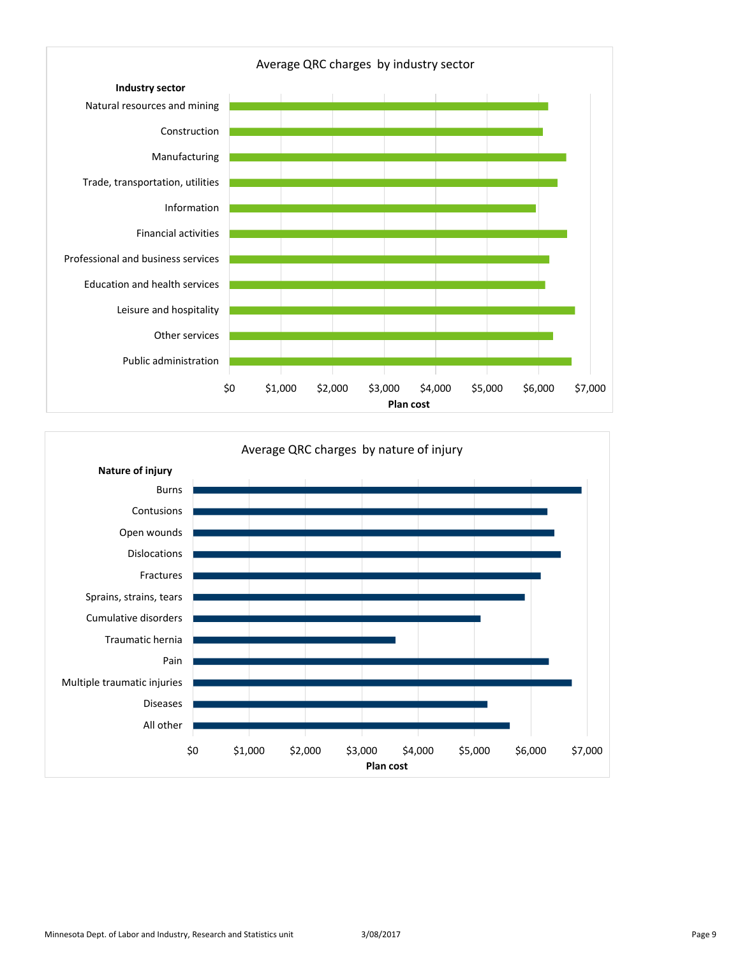

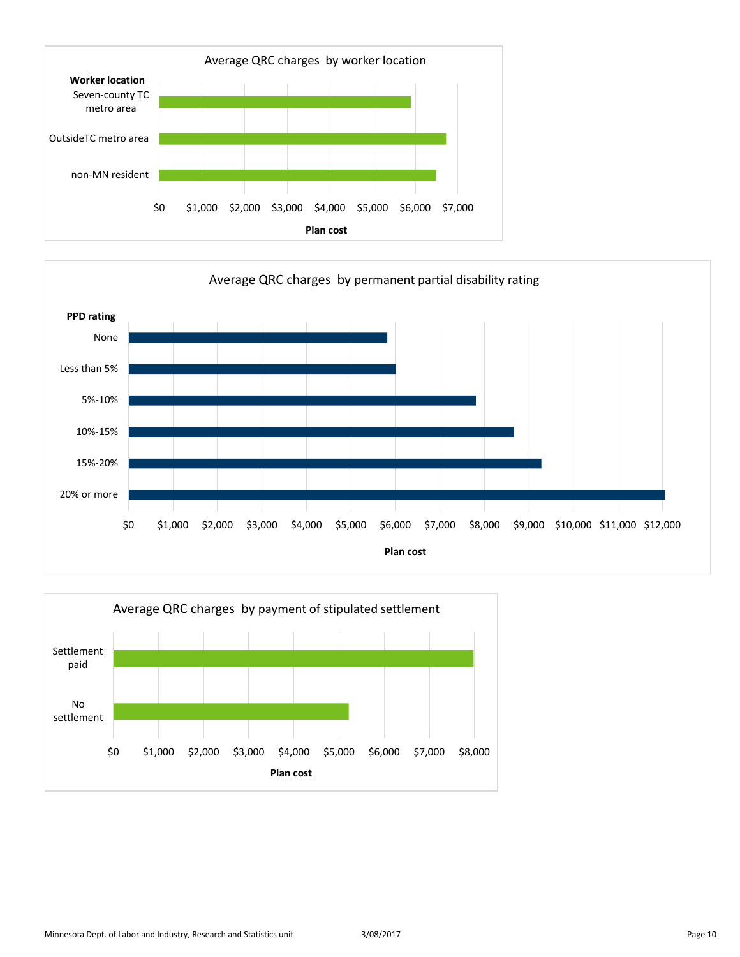